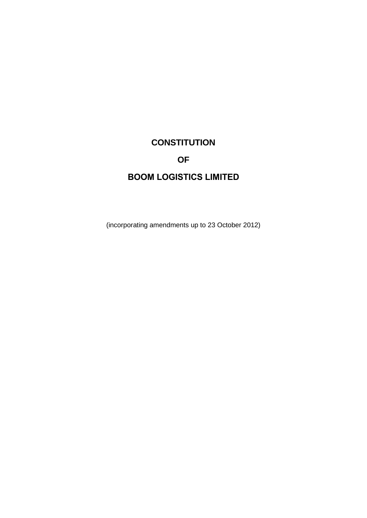# **CONSTITUTION OF BOOM LOGISTICS LIMITED**

(incorporating amendments up to 23 October 2012)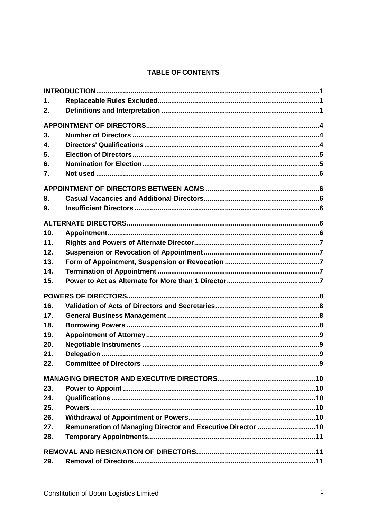# **TABLE OF CONTENTS**

| 1.  |  |
|-----|--|
| 2.  |  |
|     |  |
| 3.  |  |
| 4.  |  |
| 5.  |  |
| 6.  |  |
| 7.  |  |
|     |  |
| 8.  |  |
| 9.  |  |
|     |  |
| 10. |  |
| 11. |  |
| 12. |  |
| 13. |  |
| 14. |  |
| 15. |  |
|     |  |
| 16. |  |
| 17. |  |
| 18. |  |
| 19. |  |
| 20. |  |
| 21. |  |
| 22. |  |
|     |  |
| 23. |  |
| 24. |  |
| 25. |  |
| 26. |  |
| 27. |  |
| 28. |  |
|     |  |
| 29. |  |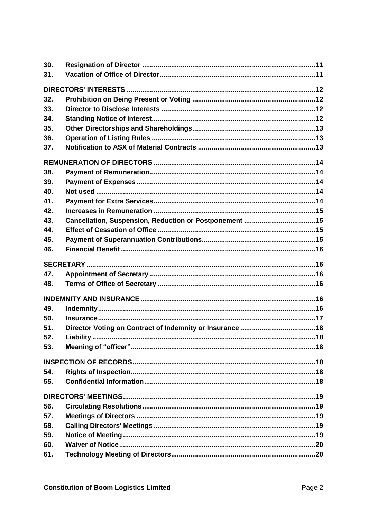| 30. |  |
|-----|--|
| 31. |  |
|     |  |
| 32. |  |
| 33. |  |
| 34. |  |
| 35. |  |
| 36. |  |
| 37. |  |
|     |  |
| 38. |  |
| 39. |  |
| 40. |  |
| 41. |  |
| 42. |  |
| 43. |  |
| 44. |  |
| 45. |  |
| 46. |  |
|     |  |
| 47. |  |
| 48. |  |
|     |  |
| 49. |  |
| 50. |  |
| 51. |  |
| 52. |  |
| 53. |  |
|     |  |
| 54. |  |
| 55. |  |
|     |  |
| 56. |  |
| 57. |  |
| 58. |  |
| 59. |  |
| 60. |  |
| 61. |  |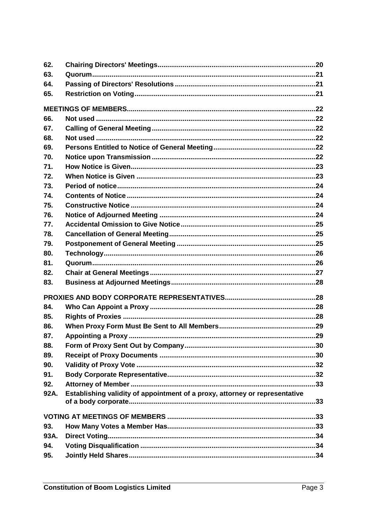| 62.  |                                                                             |    |
|------|-----------------------------------------------------------------------------|----|
| 63.  |                                                                             |    |
| 64.  |                                                                             |    |
| 65.  |                                                                             |    |
|      |                                                                             |    |
| 66.  |                                                                             |    |
| 67.  |                                                                             |    |
| 68.  |                                                                             |    |
| 69.  |                                                                             |    |
| 70.  |                                                                             |    |
| 71.  |                                                                             |    |
| 72.  |                                                                             |    |
| 73.  |                                                                             |    |
| 74.  |                                                                             |    |
| 75.  |                                                                             |    |
| 76.  |                                                                             |    |
| 77.  |                                                                             |    |
| 78.  |                                                                             |    |
| 79.  |                                                                             |    |
| 80.  |                                                                             |    |
| 81.  |                                                                             |    |
| 82.  |                                                                             |    |
| 83.  |                                                                             |    |
|      |                                                                             |    |
| 84.  |                                                                             |    |
| 85.  |                                                                             |    |
| 86.  |                                                                             |    |
| 87.  |                                                                             | 29 |
| 88.  |                                                                             |    |
| 89.  |                                                                             |    |
| 90.  |                                                                             |    |
| 91.  |                                                                             |    |
| 92.  |                                                                             |    |
| 92A. | Establishing validity of appointment of a proxy, attorney or representative |    |
|      |                                                                             |    |
| 93.  |                                                                             |    |
| 93A. |                                                                             |    |
| 94.  |                                                                             |    |
| 95.  |                                                                             |    |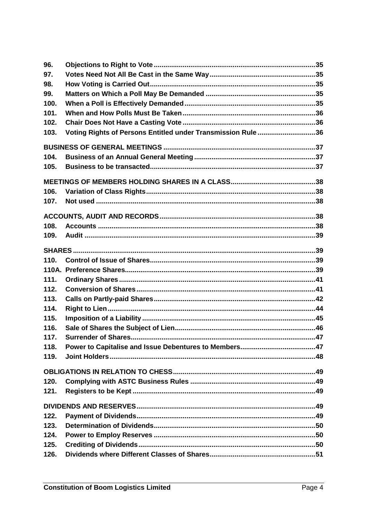| 96.  |                                                              |  |
|------|--------------------------------------------------------------|--|
| 97.  |                                                              |  |
| 98.  |                                                              |  |
| 99.  |                                                              |  |
| 100. |                                                              |  |
| 101. |                                                              |  |
| 102. |                                                              |  |
| 103. | Voting Rights of Persons Entitled under Transmission Rule 36 |  |
|      |                                                              |  |
| 104. |                                                              |  |
| 105. |                                                              |  |
|      |                                                              |  |
| 106. |                                                              |  |
| 107. |                                                              |  |
|      |                                                              |  |
| 108. |                                                              |  |
| 109. |                                                              |  |
|      |                                                              |  |
| 110. |                                                              |  |
|      |                                                              |  |
| 111. |                                                              |  |
| 112. |                                                              |  |
| 113. |                                                              |  |
| 114. |                                                              |  |
| 115. |                                                              |  |
| 116. |                                                              |  |
| 117. |                                                              |  |
| 118. |                                                              |  |
| 119. |                                                              |  |
|      |                                                              |  |
| 120. |                                                              |  |
| 121. |                                                              |  |
|      |                                                              |  |
| 122. |                                                              |  |
| 123. |                                                              |  |
| 124. |                                                              |  |
| 125. |                                                              |  |
| 126. |                                                              |  |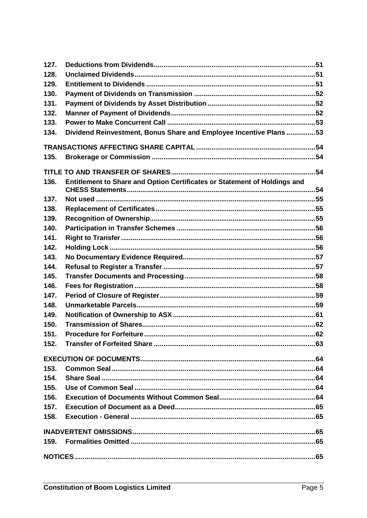| 127. |                                                                           |  |
|------|---------------------------------------------------------------------------|--|
| 128. |                                                                           |  |
| 129. |                                                                           |  |
| 130. |                                                                           |  |
| 131. |                                                                           |  |
| 132. |                                                                           |  |
| 133. |                                                                           |  |
| 134. | Dividend Reinvestment, Bonus Share and Employee Incentive Plans53         |  |
|      |                                                                           |  |
| 135. |                                                                           |  |
|      |                                                                           |  |
| 136. | Entitlement to Share and Option Certificates or Statement of Holdings and |  |
| 137. |                                                                           |  |
| 138. |                                                                           |  |
| 139. |                                                                           |  |
| 140. |                                                                           |  |
| 141. |                                                                           |  |
| 142. |                                                                           |  |
| 143. |                                                                           |  |
| 144. |                                                                           |  |
| 145. |                                                                           |  |
| 146. |                                                                           |  |
| 147. |                                                                           |  |
| 148. |                                                                           |  |
| 149. |                                                                           |  |
| 150. |                                                                           |  |
| 151. |                                                                           |  |
| 152. |                                                                           |  |
|      |                                                                           |  |
| 153. |                                                                           |  |
| 154. |                                                                           |  |
| 155. |                                                                           |  |
| 156. |                                                                           |  |
| 157. |                                                                           |  |
| 158. |                                                                           |  |
|      |                                                                           |  |
| 159. |                                                                           |  |
|      |                                                                           |  |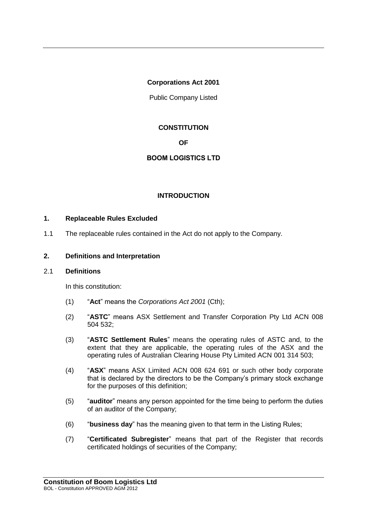## **Corporations Act 2001**

Public Company Listed

# **CONSTITUTION**

**OF**

# **BOOM LOGISTICS LTD**

# **INTRODUCTION**

## **1. Replaceable Rules Excluded**

1.1 The replaceable rules contained in the Act do not apply to the Company.

## **2. Definitions and Interpretation**

#### 2.1 **Definitions**

In this constitution:

- (1) "**Act**" means the *Corporations Act 2001* (Cth);
- (2) "**ASTC**" means ASX Settlement and Transfer Corporation Pty Ltd ACN 008 504 532;
- (3) "**ASTC Settlement Rules**" means the operating rules of ASTC and, to the extent that they are applicable, the operating rules of the ASX and the operating rules of Australian Clearing House Pty Limited ACN 001 314 503;
- (4) "**ASX**" means ASX Limited ACN 008 624 691 or such other body corporate that is declared by the directors to be the Company's primary stock exchange for the purposes of this definition;
- (5) "**auditor**" means any person appointed for the time being to perform the duties of an auditor of the Company;
- (6) "**business day**" has the meaning given to that term in the Listing Rules;
- (7) "**Certificated Subregister**" means that part of the Register that records certificated holdings of securities of the Company;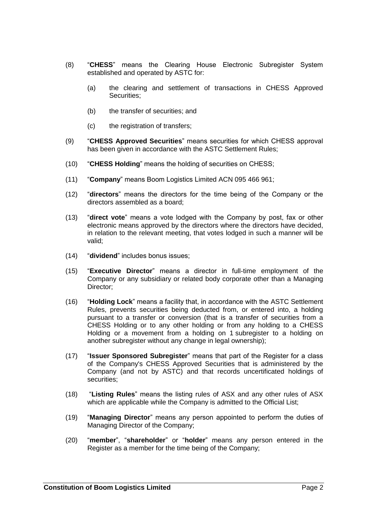- (8) "**CHESS**" means the Clearing House Electronic Subregister System established and operated by ASTC for:
	- (a) the clearing and settlement of transactions in CHESS Approved Securities;
	- (b) the transfer of securities; and
	- (c) the registration of transfers;
- (9) "**CHESS Approved Securities**" means securities for which CHESS approval has been given in accordance with the ASTC Settlement Rules;
- (10) "**CHESS Holding**" means the holding of securities on CHESS;
- (11) "**Company**" means Boom Logistics Limited ACN 095 466 961;
- (12) "**directors**" means the directors for the time being of the Company or the directors assembled as a board;
- (13) "**direct vote**" means a vote lodged with the Company by post, fax or other electronic means approved by the directors where the directors have decided, in relation to the relevant meeting, that votes lodged in such a manner will be valid;
- (14) "**dividend**" includes bonus issues;
- (15) "**Executive Director**" means a director in full-time employment of the Company or any subsidiary or related body corporate other than a Managing Director;
- (16) "**Holding Lock**" means a facility that, in accordance with the ASTC Settlement Rules, prevents securities being deducted from, or entered into, a holding pursuant to a transfer or conversion (that is a transfer of securities from a CHESS Holding or to any other holding or from any holding to a CHESS Holding or a movement from a holding on 1 subregister to a holding on another subregister without any change in legal ownership);
- (17) "**Issuer Sponsored Subregister**" means that part of the Register for a class of the Company's CHESS Approved Securities that is administered by the Company (and not by ASTC) and that records uncertificated holdings of securities;
- (18) "**Listing Rules**" means the listing rules of ASX and any other rules of ASX which are applicable while the Company is admitted to the Official List;
- (19) "**Managing Director**" means any person appointed to perform the duties of Managing Director of the Company;
- (20) "**member**", "**shareholder**" or "**holder**" means any person entered in the Register as a member for the time being of the Company;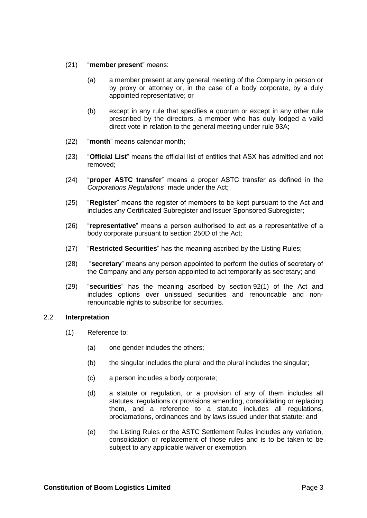- (21) "**member present**" means:
	- (a) a member present at any general meeting of the Company in person or by proxy or attorney or, in the case of a body corporate, by a duly appointed representative; or
	- (b) except in any rule that specifies a quorum or except in any other rule prescribed by the directors, a member who has duly lodged a valid direct vote in relation to the general meeting under rule 93A;
- (22) "**month**" means calendar month;
- (23) "**Official List**" means the official list of entities that ASX has admitted and not removed;
- (24) "**proper ASTC transfer**" means a proper ASTC transfer as defined in the *Corporations Regulations* made under the Act;
- (25) "**Register**" means the register of members to be kept pursuant to the Act and includes any Certificated Subregister and Issuer Sponsored Subregister;
- (26) "**representative**" means a person authorised to act as a representative of a body corporate pursuant to section 250D of the Act;
- (27) "**Restricted Securities**" has the meaning ascribed by the Listing Rules;
- (28) "**secretary**" means any person appointed to perform the duties of secretary of the Company and any person appointed to act temporarily as secretary; and
- (29) "**securities**" has the meaning ascribed by section 92(1) of the Act and includes options over unissued securities and renouncable and nonrenouncable rights to subscribe for securities.

## 2.2 **Interpretation**

- (1) Reference to:
	- (a) one gender includes the others;
	- (b) the singular includes the plural and the plural includes the singular;
	- (c) a person includes a body corporate;
	- (d) a statute or regulation, or a provision of any of them includes all statutes, regulations or provisions amending, consolidating or replacing them, and a reference to a statute includes all regulations, proclamations, ordinances and by laws issued under that statute; and
	- (e) the Listing Rules or the ASTC Settlement Rules includes any variation, consolidation or replacement of those rules and is to be taken to be subject to any applicable waiver or exemption.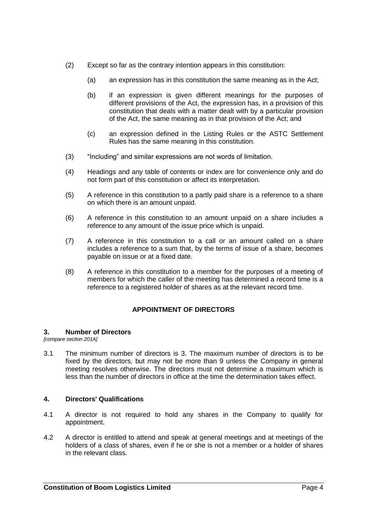- (2) Except so far as the contrary intention appears in this constitution:
	- (a) an expression has in this constitution the same meaning as in the Act;
	- (b) if an expression is given different meanings for the purposes of different provisions of the Act, the expression has, in a provision of this constitution that deals with a matter dealt with by a particular provision of the Act, the same meaning as in that provision of the Act; and
	- (c) an expression defined in the Listing Rules or the ASTC Settlement Rules has the same meaning in this constitution.
- (3) "Including" and similar expressions are not words of limitation.
- (4) Headings and any table of contents or index are for convenience only and do not form part of this constitution or affect its interpretation.
- (5) A reference in this constitution to a partly paid share is a reference to a share on which there is an amount unpaid.
- (6) A reference in this constitution to an amount unpaid on a share includes a reference to any amount of the issue price which is unpaid.
- (7) A reference in this constitution to a call or an amount called on a share includes a reference to a sum that, by the terms of issue of a share, becomes payable on issue or at a fixed date.
- (8) A reference in this constitution to a member for the purposes of a meeting of members for which the caller of the meeting has determined a record time is a reference to a registered holder of shares as at the relevant record time.

# **APPOINTMENT OF DIRECTORS**

## <span id="page-10-0"></span>**3. Number of Directors**

*[compare section 201A]*

3.1 The minimum number of directors is 3. The maximum number of directors is to be fixed by the directors, but may not be more than 9 unless the Company in general meeting resolves otherwise. The directors must not determine a maximum which is less than the number of directors in office at the time the determination takes effect.

## **4. Directors' Qualifications**

- 4.1 A director is not required to hold any shares in the Company to qualify for appointment.
- 4.2 A director is entitled to attend and speak at general meetings and at meetings of the holders of a class of shares, even if he or she is not a member or a holder of shares in the relevant class.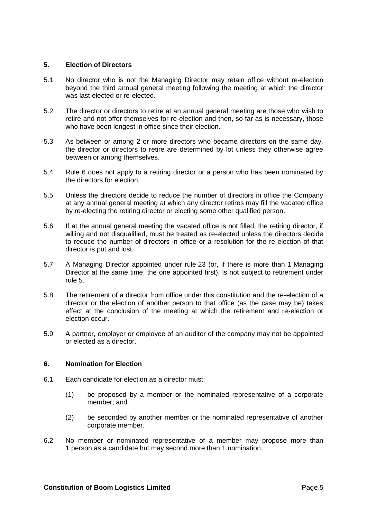## <span id="page-11-1"></span>**5. Election of Directors**

- 5.1 No director who is not the Managing Director may retain office without re-election beyond the third annual general meeting following the meeting at which the director was last elected or re-elected.
- 5.2 The director or directors to retire at an annual general meeting are those who wish to retire and not offer themselves for re-election and then, so far as is necessary, those who have been longest in office since their election.
- 5.3 As between or among 2 or more directors who became directors on the same day, the director or directors to retire are determined by lot unless they otherwise agree between or among themselves.
- 5.4 Rule [6](#page-11-0) does not apply to a retiring director or a person who has been nominated by the directors for election.
- 5.5 Unless the directors decide to reduce the number of directors in office the Company at any annual general meeting at which any director retires may fill the vacated office by re-electing the retiring director or electing some other qualified person.
- 5.6 If at the annual general meeting the vacated office is not filled, the retiring director, if willing and not disqualified, must be treated as re-elected unless the directors decide to reduce the number of directors in office or a resolution for the re-election of that director is put and lost.
- 5.7 A Managing Director appointed under rule [23](#page-16-0) (or, if there is more than 1 Managing Director at the same time, the one appointed first), is not subject to retirement under rule [5.](#page-11-1)
- 5.8 The retirement of a director from office under this constitution and the re-election of a director or the election of another person to that office (as the case may be) takes effect at the conclusion of the meeting at which the retirement and re-election or election occur.
- 5.9 A partner, employer or employee of an auditor of the company may not be appointed or elected as a director.

## <span id="page-11-0"></span>**6. Nomination for Election**

- 6.1 Each candidate for election as a director must:
	- (1) be proposed by a member or the nominated representative of a corporate member; and
	- (2) be seconded by another member or the nominated representative of another corporate member.
- 6.2 No member or nominated representative of a member may propose more than 1 person as a candidate but may second more than 1 nomination.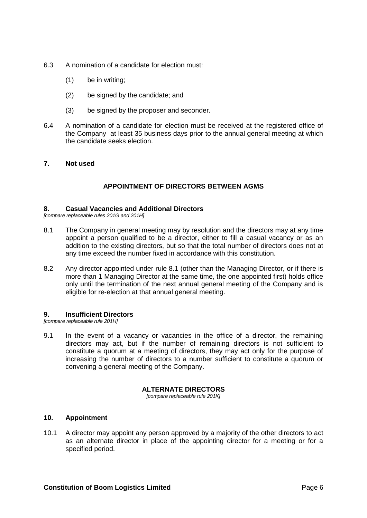- 6.3 A nomination of a candidate for election must:
	- (1) be in writing;
	- (2) be signed by the candidate; and
	- (3) be signed by the proposer and seconder.
- 6.4 A nomination of a candidate for election must be received at the registered office of the Company at least 35 business days prior to the annual general meeting at which the candidate seeks election.

## **7. Not used**

# **APPOINTMENT OF DIRECTORS BETWEEN AGMS**

## **8. Casual Vacancies and Additional Directors**

<span id="page-12-0"></span>*[compare replaceable rules 201G and 201H]*

- 8.1 The Company in general meeting may by resolution and the directors may at any time appoint a person qualified to be a director, either to fill a casual vacancy or as an addition to the existing directors, but so that the total number of directors does not at any time exceed the number fixed in accordance with this constitution.
- 8.2 Any director appointed under rule [8.1](#page-12-0) (other than the Managing Director, or if there is more than 1 Managing Director at the same time, the one appointed first) holds office only until the termination of the next annual general meeting of the Company and is eligible for re-election at that annual general meeting.

#### **9. Insufficient Directors**

*[compare replaceable rule 201H]*

9.1 In the event of a vacancy or vacancies in the office of a director, the remaining directors may act, but if the number of remaining directors is not sufficient to constitute a quorum at a meeting of directors, they may act only for the purpose of increasing the number of directors to a number sufficient to constitute a quorum or convening a general meeting of the Company.

## **ALTERNATE DIRECTORS**

*[compare replaceable rule 201K]*

## <span id="page-12-1"></span>**10. Appointment**

10.1 A director may appoint any person approved by a majority of the other directors to act as an alternate director in place of the appointing director for a meeting or for a specified period.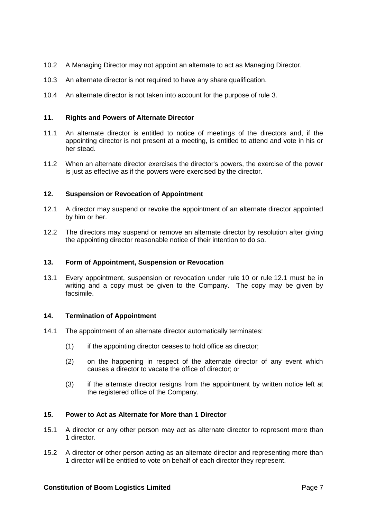- 10.2 A Managing Director may not appoint an alternate to act as Managing Director.
- 10.3 An alternate director is not required to have any share qualification.
- 10.4 An alternate director is not taken into account for the purpose of rule [3.](#page-10-0)

## **11. Rights and Powers of Alternate Director**

- 11.1 An alternate director is entitled to notice of meetings of the directors and, if the appointing director is not present at a meeting, is entitled to attend and vote in his or her stead.
- 11.2 When an alternate director exercises the director's powers, the exercise of the power is just as effective as if the powers were exercised by the director.

## <span id="page-13-0"></span>**12. Suspension or Revocation of Appointment**

- 12.1 A director may suspend or revoke the appointment of an alternate director appointed by him or her.
- 12.2 The directors may suspend or remove an alternate director by resolution after giving the appointing director reasonable notice of their intention to do so.

## **13. Form of Appointment, Suspension or Revocation**

13.1 Every appointment, suspension or revocation under rule [10](#page-12-1) or rule [12.1](#page-13-0) must be in writing and a copy must be given to the Company. The copy may be given by facsimile.

## **14. Termination of Appointment**

- 14.1 The appointment of an alternate director automatically terminates:
	- (1) if the appointing director ceases to hold office as director;
	- (2) on the happening in respect of the alternate director of any event which causes a director to vacate the office of director; or
	- (3) if the alternate director resigns from the appointment by written notice left at the registered office of the Company.

## <span id="page-13-1"></span>**15. Power to Act as Alternate for More than 1 Director**

- 15.1 A director or any other person may act as alternate director to represent more than 1 director.
- <span id="page-13-2"></span>15.2 A director or other person acting as an alternate director and representing more than 1 director will be entitled to vote on behalf of each director they represent.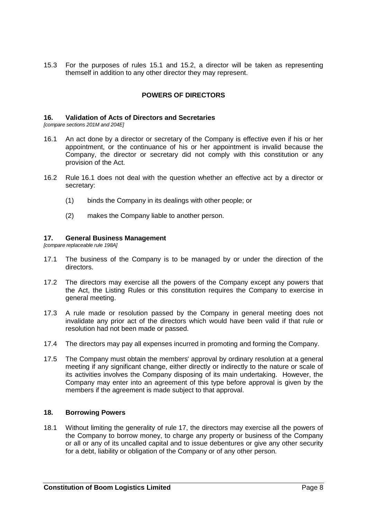15.3 For the purposes of rules [15.1](#page-13-1) and [15.2,](#page-13-2) a director will be taken as representing themself in addition to any other director they may represent.

## **POWERS OF DIRECTORS**

## **16. Validation of Acts of Directors and Secretaries**

<span id="page-14-0"></span>*[compare sections 201M and 204E]*

- 16.1 An act done by a director or secretary of the Company is effective even if his or her appointment, or the continuance of his or her appointment is invalid because the Company, the director or secretary did not comply with this constitution or any provision of the Act.
- 16.2 Rule [16.1](#page-14-0) does not deal with the question whether an effective act by a director or secretary:
	- (1) binds the Company in its dealings with other people; or
	- (2) makes the Company liable to another person.

## <span id="page-14-1"></span>**17. General Business Management**

*[compare replaceable rule 198A]*

- 17.1 The business of the Company is to be managed by or under the direction of the directors.
- 17.2 The directors may exercise all the powers of the Company except any powers that the Act, the Listing Rules or this constitution requires the Company to exercise in general meeting.
- 17.3 A rule made or resolution passed by the Company in general meeting does not invalidate any prior act of the directors which would have been valid if that rule or resolution had not been made or passed.
- 17.4 The directors may pay all expenses incurred in promoting and forming the Company.
- 17.5 The Company must obtain the members' approval by ordinary resolution at a general meeting if any significant change, either directly or indirectly to the nature or scale of its activities involves the Company disposing of its main undertaking. However, the Company may enter into an agreement of this type before approval is given by the members if the agreement is made subject to that approval.

#### **18. Borrowing Powers**

18.1 Without limiting the generality of rule [17,](#page-14-1) the directors may exercise all the powers of the Company to borrow money, to charge any property or business of the Company or all or any of its uncalled capital and to issue debentures or give any other security for a debt, liability or obligation of the Company or of any other person.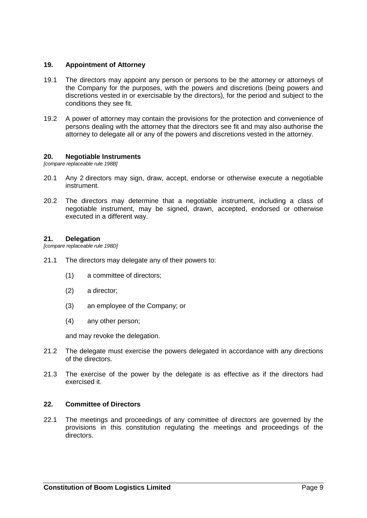## **19. Appointment of Attorney**

- 19.1 The directors may appoint any person or persons to be the attorney or attorneys of the Company for the purposes, with the powers and discretions (being powers and discretions vested in or exercisable by the directors), for the period and subject to the conditions they see fit.
- 19.2 A power of attorney may contain the provisions for the protection and convenience of persons dealing with the attorney that the directors see fit and may also authorise the attorney to delegate all or any of the powers and discretions vested in the attorney.

#### **20. Negotiable Instruments**

*[compare replaceable rule 198B]*

- 20.1 Any 2 directors may sign, draw, accept, endorse or otherwise execute a negotiable instrument.
- 20.2 The directors may determine that a negotiable instrument, including a class of negotiable instrument, may be signed, drawn, accepted, endorsed or otherwise executed in a different way.

### **21. Delegation**

*[compare replaceable rule 198D]*

- 21.1 The directors may delegate any of their powers to:
	- (1) a committee of directors;
	- (2) a director;
	- (3) an employee of the Company; or
	- (4) any other person;

and may revoke the delegation.

- 21.2 The delegate must exercise the powers delegated in accordance with any directions of the directors.
- 21.3 The exercise of the power by the delegate is as effective as if the directors had exercised it.

#### **22. Committee of Directors**

22.1 The meetings and proceedings of any committee of directors are governed by the provisions in this constitution regulating the meetings and proceedings of the directors.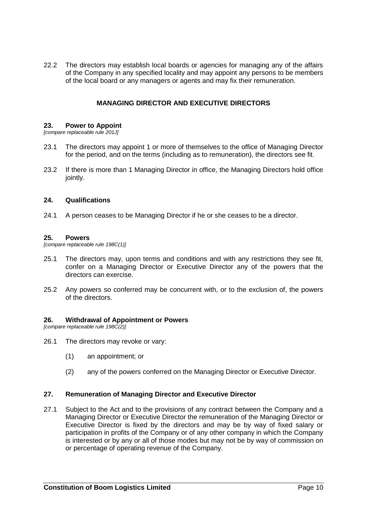<span id="page-16-1"></span>22.2 The directors may establish local boards or agencies for managing any of the affairs of the Company in any specified locality and may appoint any persons to be members of the local board or any managers or agents and may fix their remuneration.

## **MANAGING DIRECTOR AND EXECUTIVE DIRECTORS**

#### <span id="page-16-0"></span>**23. Power to Appoint**

*[compare replaceable rule 201J]*

- 23.1 The directors may appoint 1 or more of themselves to the office of Managing Director for the period, and on the terms (including as to remuneration), the directors see fit.
- 23.2 If there is more than 1 Managing Director in office, the Managing Directors hold office jointly.

#### **24. Qualifications**

24.1 A person ceases to be Managing Director if he or she ceases to be a director.

#### **25. Powers**

*[compare replaceable rule 198C(1)]*

- 25.1 The directors may, upon terms and conditions and with any restrictions they see fit, confer on a Managing Director or Executive Director any of the powers that the directors can exercise.
- 25.2 Any powers so conferred may be concurrent with, or to the exclusion of, the powers of the directors.

#### **26. Withdrawal of Appointment or Powers**

*[compare replaceable rule 198C(2)]*

- 26.1 The directors may revoke or vary:
	- (1) an appointment; or
	- (2) any of the powers conferred on the Managing Director or Executive Director.

#### **27. Remuneration of Managing Director and Executive Director**

27.1 Subject to the Act and to the provisions of any contract between the Company and a Managing Director or Executive Director the remuneration of the Managing Director or Executive Director is fixed by the directors and may be by way of fixed salary or participation in profits of the Company or of any other company in which the Company is interested or by any or all of those modes but may not be by way of commission on or percentage of operating revenue of the Company.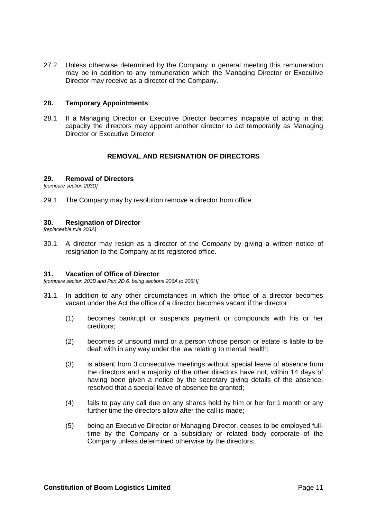27.2 Unless otherwise determined by the Company in general meeting this remuneration may be in addition to any remuneration which the Managing Director or Executive Director may receive as a director of the Company.

#### **28. Temporary Appointments**

28.1 If a Managing Director or Executive Director becomes incapable of acting in that capacity the directors may appoint another director to act temporarily as Managing Director or Executive Director.

#### **REMOVAL AND RESIGNATION OF DIRECTORS**

## <span id="page-17-0"></span>**29. Removal of Directors**

*[compare section 203D]*

<span id="page-17-1"></span>29.1 The Company may by resolution remove a director from office.

#### **30. Resignation of Director**

*[replaceable rule 203A]*

30.1 A director may resign as a director of the Company by giving a written notice of resignation to the Company at its registered office.

#### **31. Vacation of Office of Director**

*[compare section 203B and Part 2D.6, being sections 206A to 206H]*

- 31.1 In addition to any other circumstances in which the office of a director becomes vacant under the Act the office of a director becomes vacant if the director:
	- (1) becomes bankrupt or suspends payment or compounds with his or her creditors;
	- (2) becomes of unsound mind or a person whose person or estate is liable to be dealt with in any way under the law relating to mental health;
	- (3) is absent from 3 consecutive meetings without special leave of absence from the directors and a majority of the other directors have not, within 14 days of having been given a notice by the secretary giving details of the absence, resolved that a special leave of absence be granted;
	- (4) fails to pay any call due on any shares held by him or her for 1 month or any further time the directors allow after the call is made;
	- (5) being an Executive Director or Managing Director, ceases to be employed fulltime by the Company or a subsidiary or related body corporate of the Company unless determined otherwise by the directors;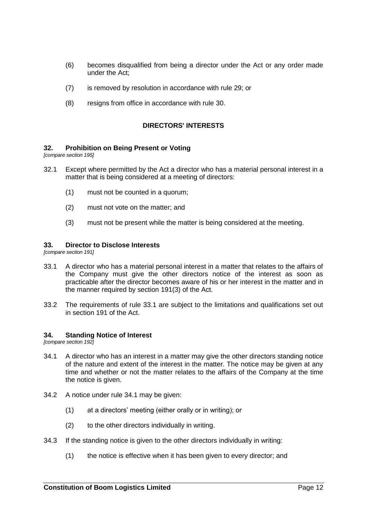- (6) becomes disqualified from being a director under the Act or any order made under the Act:
- (7) is removed by resolution in accordance with rule [29;](#page-17-0) or
- (8) resigns from office in accordance with rule [30.](#page-17-1)

## **DIRECTORS' INTERESTS**

#### <span id="page-18-2"></span>**32. Prohibition on Being Present or Voting**

*[compare section 195]*

- 32.1 Except where permitted by the Act a director who has a material personal interest in a matter that is being considered at a meeting of directors:
	- (1) must not be counted in a quorum;
	- (2) must not vote on the matter; and
	- (3) must not be present while the matter is being considered at the meeting.

#### **33. Director to Disclose Interests**

<span id="page-18-0"></span>*[compare section 191]*

- 33.1 A director who has a material personal interest in a matter that relates to the affairs of the Company must give the other directors notice of the interest as soon as practicable after the director becomes aware of his or her interest in the matter and in the manner required by section 191(3) of the Act.
- 33.2 The requirements of rule [33.1](#page-18-0) are subject to the limitations and qualifications set out in section 191 of the Act.

#### **34. Standing Notice of Interest**

<span id="page-18-1"></span>*[compare section 192]*

- 34.1 A director who has an interest in a matter may give the other directors standing notice of the nature and extent of the interest in the matter. The notice may be given at any time and whether or not the matter relates to the affairs of the Company at the time the notice is given.
- 34.2 A notice under rule [34.1](#page-18-1) may be given:
	- (1) at a directors' meeting (either orally or in writing); or
	- (2) to the other directors individually in writing.
- 34.3 If the standing notice is given to the other directors individually in writing:
	- (1) the notice is effective when it has been given to every director; and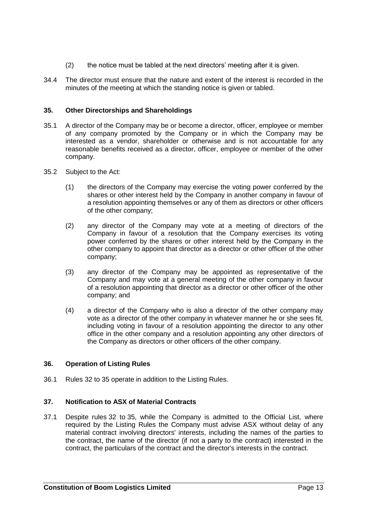- (2) the notice must be tabled at the next directors' meeting after it is given.
- 34.4 The director must ensure that the nature and extent of the interest is recorded in the minutes of the meeting at which the standing notice is given or tabled.

## <span id="page-19-0"></span>**35. Other Directorships and Shareholdings**

- 35.1 A director of the Company may be or become a director, officer, employee or member of any company promoted by the Company or in which the Company may be interested as a vendor, shareholder or otherwise and is not accountable for any reasonable benefits received as a director, officer, employee or member of the other company.
- 35.2 Subject to the Act:
	- (1) the directors of the Company may exercise the voting power conferred by the shares or other interest held by the Company in another company in favour of a resolution appointing themselves or any of them as directors or other officers of the other company;
	- (2) any director of the Company may vote at a meeting of directors of the Company in favour of a resolution that the Company exercises its voting power conferred by the shares or other interest held by the Company in the other company to appoint that director as a director or other officer of the other company;
	- (3) any director of the Company may be appointed as representative of the Company and may vote at a general meeting of the other company in favour of a resolution appointing that director as a director or other officer of the other company; and
	- (4) a director of the Company who is also a director of the other company may vote as a director of the other company in whatever manner he or she sees fit, including voting in favour of a resolution appointing the director to any other office in the other company and a resolution appointing any other directors of the Company as directors or other officers of the other company.

## **36. Operation of Listing Rules**

36.1 Rules [32](#page-18-2) to [35](#page-19-0) operate in addition to the Listing Rules.

## **37. Notification to ASX of Material Contracts**

37.1 Despite rules [32](#page-18-2) to [35,](#page-19-0) while the Company is admitted to the Official List, where required by the Listing Rules the Company must advise ASX without delay of any material contract involving directors' interests, including the names of the parties to the contract, the name of the director (if not a party to the contract) interested in the contract, the particulars of the contract and the director's interests in the contract.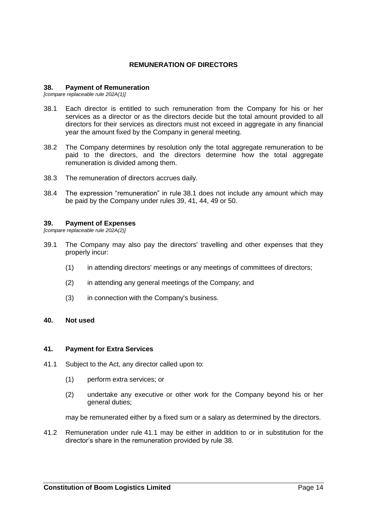## **REMUNERATION OF DIRECTORS**

#### <span id="page-20-4"></span>**38. Payment of Remuneration**

<span id="page-20-0"></span>*[compare replaceable rule 202A(1)]*

- 38.1 Each director is entitled to such remuneration from the Company for his or her services as a director or as the directors decide but the total amount provided to all directors for their services as directors must not exceed in aggregate in any financial year the amount fixed by the Company in general meeting.
- 38.2 The Company determines by resolution only the total aggregate remuneration to be paid to the directors, and the directors determine how the total aggregate remuneration is divided among them.
- 38.3 The remuneration of directors accrues daily.
- 38.4 The expression "remuneration" in rule [38.1](#page-20-0) does not include any amount which may be paid by the Company under rules [39,](#page-20-1) [41,](#page-20-2) [44,](#page-21-0) [49](#page-22-0) or [50.](#page-23-0)

#### <span id="page-20-1"></span>**39. Payment of Expenses**

*[compare replaceable rule 202A(2)]*

- 39.1 The Company may also pay the directors' travelling and other expenses that they properly incur:
	- (1) in attending directors' meetings or any meetings of committees of directors;
	- (2) in attending any general meetings of the Company; and
	- (3) in connection with the Company's business.

#### <span id="page-20-2"></span>**40. Not used**

#### <span id="page-20-3"></span>**41. Payment for Extra Services**

- 41.1 Subject to the Act, any director called upon to:
	- (1) perform extra services; or
	- (2) undertake any executive or other work for the Company beyond his or her general duties;

may be remunerated either by a fixed sum or a salary as determined by the directors.

41.2 Remuneration under rule [41.1](#page-20-3) may be either in addition to or in substitution for the director's share in the remuneration provided by rule [38.](#page-20-4)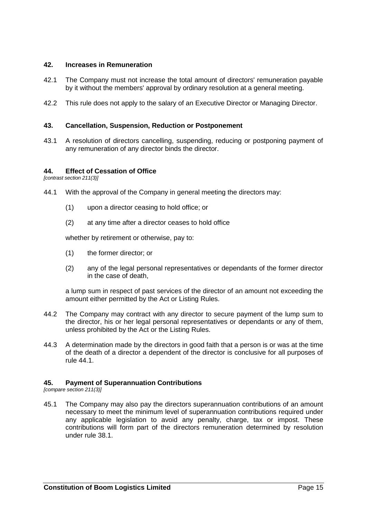## **42. Increases in Remuneration**

- 42.1 The Company must not increase the total amount of directors' remuneration payable by it without the members' approval by ordinary resolution at a general meeting.
- 42.2 This rule does not apply to the salary of an Executive Director or Managing Director.

## **43. Cancellation, Suspension, Reduction or Postponement**

43.1 A resolution of directors cancelling, suspending, reducing or postponing payment of any remuneration of any director binds the director.

## <span id="page-21-0"></span>**44. Effect of Cessation of Office**

<span id="page-21-1"></span>*[contrast section 211(3)]*

- 44.1 With the approval of the Company in general meeting the directors may:
	- (1) upon a director ceasing to hold office; or
	- (2) at any time after a director ceases to hold office

whether by retirement or otherwise, pay to:

- (1) the former director; or
- (2) any of the legal personal representatives or dependants of the former director in the case of death,

a lump sum in respect of past services of the director of an amount not exceeding the amount either permitted by the Act or Listing Rules.

- 44.2 The Company may contract with any director to secure payment of the lump sum to the director, his or her legal personal representatives or dependants or any of them, unless prohibited by the Act or the Listing Rules.
- 44.3 A determination made by the directors in good faith that a person is or was at the time of the death of a director a dependent of the director is conclusive for all purposes of rule [44.1.](#page-21-1)

## **45. Payment of Superannuation Contributions**

*[compare section 211(3)]*

45.1 The Company may also pay the directors superannuation contributions of an amount necessary to meet the minimum level of superannuation contributions required under any applicable legislation to avoid any penalty, charge, tax or impost. These contributions will form part of the directors remuneration determined by resolution under rule [38.1.](#page-20-0)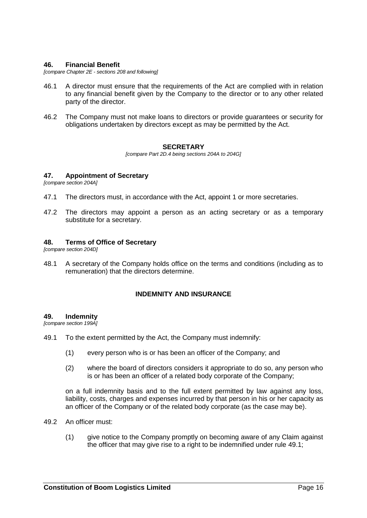#### **46. Financial Benefit**

*[compare Chapter 2E - sections 208 and following]*

- 46.1 A director must ensure that the requirements of the Act are complied with in relation to any financial benefit given by the Company to the director or to any other related party of the director.
- 46.2 The Company must not make loans to directors or provide guarantees or security for obligations undertaken by directors except as may be permitted by the Act.

#### **SECRETARY**

*[compare Part 2D.4 being sections 204A to 204G]*

#### **47. Appointment of Secretary**

*[compare section 204A]*

- 47.1 The directors must, in accordance with the Act, appoint 1 or more secretaries.
- 47.2 The directors may appoint a person as an acting secretary or as a temporary substitute for a secretary.

#### **48. Terms of Office of Secretary**

*[compare section 204D]*

48.1 A secretary of the Company holds office on the terms and conditions (including as to remuneration) that the directors determine.

## **INDEMNITY AND INSURANCE**

#### <span id="page-22-0"></span>**49. Indemnity**

<span id="page-22-1"></span>*[compare section 199A]*

- 49.1 To the extent permitted by the Act, the Company must indemnify:
	- (1) every person who is or has been an officer of the Company; and
	- (2) where the board of directors considers it appropriate to do so, any person who is or has been an officer of a related body corporate of the Company;

on a full indemnity basis and to the full extent permitted by law against any loss, liability, costs, charges and expenses incurred by that person in his or her capacity as an officer of the Company or of the related body corporate (as the case may be).

- <span id="page-22-3"></span><span id="page-22-2"></span>49.2 An officer must:
	- (1) give notice to the Company promptly on becoming aware of any Claim against the officer that may give rise to a right to be indemnified under rule [49.1;](#page-22-1)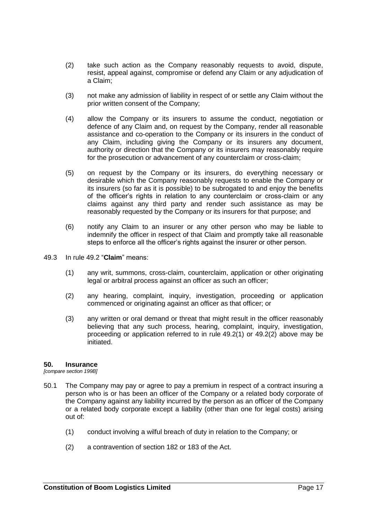- <span id="page-23-1"></span>(2) take such action as the Company reasonably requests to avoid, dispute, resist, appeal against, compromise or defend any Claim or any adjudication of a Claim;
- (3) not make any admission of liability in respect of or settle any Claim without the prior written consent of the Company;
- (4) allow the Company or its insurers to assume the conduct, negotiation or defence of any Claim and, on request by the Company, render all reasonable assistance and co-operation to the Company or its insurers in the conduct of any Claim, including giving the Company or its insurers any document, authority or direction that the Company or its insurers may reasonably require for the prosecution or advancement of any counterclaim or cross-claim;
- (5) on request by the Company or its insurers, do everything necessary or desirable which the Company reasonably requests to enable the Company or its insurers (so far as it is possible) to be subrogated to and enjoy the benefits of the officer's rights in relation to any counterclaim or cross-claim or any claims against any third party and render such assistance as may be reasonably requested by the Company or its insurers for that purpose; and
- (6) notify any Claim to an insurer or any other person who may be liable to indemnify the officer in respect of that Claim and promptly take all reasonable steps to enforce all the officer's rights against the insurer or other person.
- 49.3 In rule [49.2](#page-22-2) "**Claim**" means:
	- (1) any writ, summons, cross-claim, counterclaim, application or other originating legal or arbitral process against an officer as such an officer;
	- (2) any hearing, complaint, inquiry, investigation, proceeding or application commenced or originating against an officer as that officer; or
	- (3) any written or oral demand or threat that might result in the officer reasonably believing that any such process, hearing, complaint, inquiry, investigation, proceeding or application referred to in rule [49.2\(1\)](#page-22-3) or [49.2\(2\)](#page-23-1) above may be initiated.

#### <span id="page-23-0"></span>**50. Insurance**

*[compare section 199B]*

- 50.1 The Company may pay or agree to pay a premium in respect of a contract insuring a person who is or has been an officer of the Company or a related body corporate of the Company against any liability incurred by the person as an officer of the Company or a related body corporate except a liability (other than one for legal costs) arising out of:
	- (1) conduct involving a wilful breach of duty in relation to the Company; or
	- (2) a contravention of section 182 or 183 of the Act.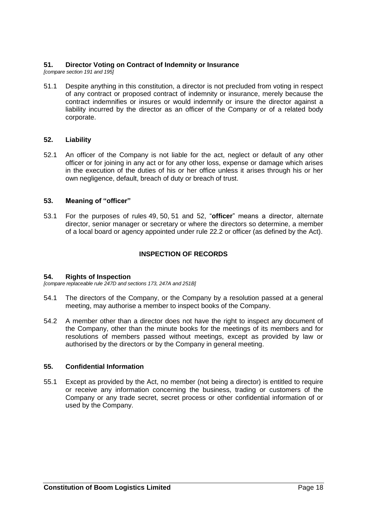## <span id="page-24-0"></span>**51. Director Voting on Contract of Indemnity or Insurance**

*[compare section 191 and 195]*

51.1 Despite anything in this constitution, a director is not precluded from voting in respect of any contract or proposed contract of indemnity or insurance, merely because the contract indemnifies or insures or would indemnify or insure the director against a liability incurred by the director as an officer of the Company or of a related body corporate.

## <span id="page-24-1"></span>**52. Liability**

52.1 An officer of the Company is not liable for the act, neglect or default of any other officer or for joining in any act or for any other loss, expense or damage which arises in the execution of the duties of his or her office unless it arises through his or her own negligence, default, breach of duty or breach of trust.

## **53. Meaning of "officer"**

53.1 For the purposes of rules [49,](#page-22-0) [50,](#page-23-0) [51](#page-24-0) and [52,](#page-24-1) "**officer**" means a director, alternate director, senior manager or secretary or where the directors so determine, a member of a local board or agency appointed under rule [22.2](#page-16-1) or officer (as defined by the Act).

## **INSPECTION OF RECORDS**

## **54. Rights of Inspection**

*[compare replaceable rule 247D and sections 173, 247A and 251B]*

- 54.1 The directors of the Company, or the Company by a resolution passed at a general meeting, may authorise a member to inspect books of the Company.
- 54.2 A member other than a director does not have the right to inspect any document of the Company, other than the minute books for the meetings of its members and for resolutions of members passed without meetings, except as provided by law or authorised by the directors or by the Company in general meeting.

## **55. Confidential Information**

55.1 Except as provided by the Act, no member (not being a director) is entitled to require or receive any information concerning the business, trading or customers of the Company or any trade secret, secret process or other confidential information of or used by the Company.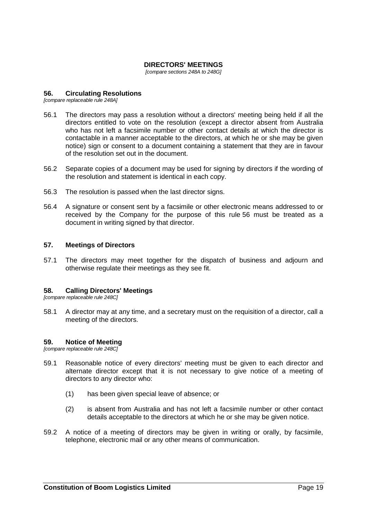## **DIRECTORS' MEETINGS**

*[compare sections 248A to 248G]*

#### <span id="page-25-0"></span>**56. Circulating Resolutions**

*[compare replaceable rule 248A]*

- 56.1 The directors may pass a resolution without a directors' meeting being held if all the directors entitled to vote on the resolution (except a director absent from Australia who has not left a facsimile number or other contact details at which the director is contactable in a manner acceptable to the directors, at which he or she may be given notice) sign or consent to a document containing a statement that they are in favour of the resolution set out in the document.
- 56.2 Separate copies of a document may be used for signing by directors if the wording of the resolution and statement is identical in each copy.
- 56.3 The resolution is passed when the last director signs.
- 56.4 A signature or consent sent by a facsimile or other electronic means addressed to or received by the Company for the purpose of this rule [56](#page-25-0) must be treated as a document in writing signed by that director.

#### **57. Meetings of Directors**

57.1 The directors may meet together for the dispatch of business and adjourn and otherwise regulate their meetings as they see fit.

#### **58. Calling Directors' Meetings**

*[compare replaceable rule 248C]*

58.1 A director may at any time, and a secretary must on the requisition of a director, call a meeting of the directors.

#### **59. Notice of Meeting**

*[compare replaceable rule 248C]*

- 59.1 Reasonable notice of every directors' meeting must be given to each director and alternate director except that it is not necessary to give notice of a meeting of directors to any director who:
	- (1) has been given special leave of absence; or
	- (2) is absent from Australia and has not left a facsimile number or other contact details acceptable to the directors at which he or she may be given notice.
- 59.2 A notice of a meeting of directors may be given in writing or orally, by facsimile, telephone, electronic mail or any other means of communication.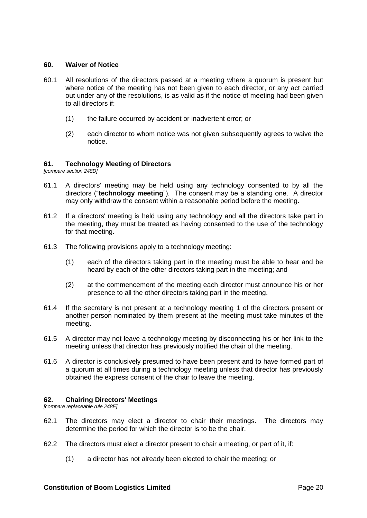## **60. Waiver of Notice**

- 60.1 All resolutions of the directors passed at a meeting where a quorum is present but where notice of the meeting has not been given to each director, or any act carried out under any of the resolutions, is as valid as if the notice of meeting had been given to all directors if:
	- (1) the failure occurred by accident or inadvertent error; or
	- (2) each director to whom notice was not given subsequently agrees to waive the notice.

#### **61. Technology Meeting of Directors**

*[compare section 248D]*

- 61.1 A directors' meeting may be held using any technology consented to by all the directors ("**technology meeting**"). The consent may be a standing one. A director may only withdraw the consent within a reasonable period before the meeting.
- 61.2 If a directors' meeting is held using any technology and all the directors take part in the meeting, they must be treated as having consented to the use of the technology for that meeting.
- 61.3 The following provisions apply to a technology meeting:
	- (1) each of the directors taking part in the meeting must be able to hear and be heard by each of the other directors taking part in the meeting; and
	- (2) at the commencement of the meeting each director must announce his or her presence to all the other directors taking part in the meeting.
- 61.4 If the secretary is not present at a technology meeting 1 of the directors present or another person nominated by them present at the meeting must take minutes of the meeting.
- 61.5 A director may not leave a technology meeting by disconnecting his or her link to the meeting unless that director has previously notified the chair of the meeting.
- 61.6 A director is conclusively presumed to have been present and to have formed part of a quorum at all times during a technology meeting unless that director has previously obtained the express consent of the chair to leave the meeting.

#### **62. Chairing Directors' Meetings**

*[compare replaceable rule 248E]*

- 62.1 The directors may elect a director to chair their meetings. The directors may determine the period for which the director is to be the chair.
- 62.2 The directors must elect a director present to chair a meeting, or part of it, if:
	- (1) a director has not already been elected to chair the meeting; or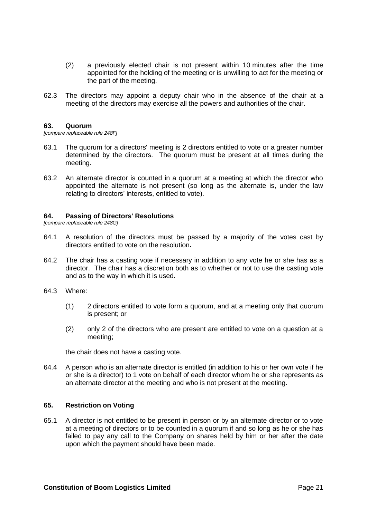- (2) a previously elected chair is not present within 10 minutes after the time appointed for the holding of the meeting or is unwilling to act for the meeting or the part of the meeting.
- 62.3 The directors may appoint a deputy chair who in the absence of the chair at a meeting of the directors may exercise all the powers and authorities of the chair.

#### **63. Quorum**

*[compare replaceable rule 248F]*

- 63.1 The quorum for a directors' meeting is 2 directors entitled to vote or a greater number determined by the directors. The quorum must be present at all times during the meeting.
- 63.2 An alternate director is counted in a quorum at a meeting at which the director who appointed the alternate is not present (so long as the alternate is, under the law relating to directors' interests, entitled to vote).

#### **64. Passing of Directors' Resolutions**

*[compare replaceable rule 248G]*

- 64.1 A resolution of the directors must be passed by a majority of the votes cast by directors entitled to vote on the resolution**.**
- 64.2 The chair has a casting vote if necessary in addition to any vote he or she has as a director. The chair has a discretion both as to whether or not to use the casting vote and as to the way in which it is used.
- 64.3 Where:
	- (1) 2 directors entitled to vote form a quorum, and at a meeting only that quorum is present; or
	- (2) only 2 of the directors who are present are entitled to vote on a question at a meeting;

the chair does not have a casting vote.

64.4 A person who is an alternate director is entitled (in addition to his or her own vote if he or she is a director) to 1 vote on behalf of each director whom he or she represents as an alternate director at the meeting and who is not present at the meeting.

#### **65. Restriction on Voting**

65.1 A director is not entitled to be present in person or by an alternate director or to vote at a meeting of directors or to be counted in a quorum if and so long as he or she has failed to pay any call to the Company on shares held by him or her after the date upon which the payment should have been made.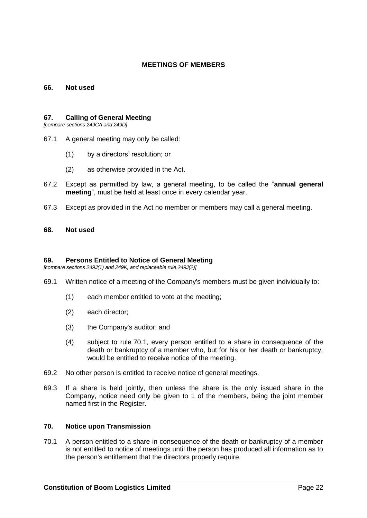## **MEETINGS OF MEMBERS**

#### **66. Not used**

#### **67. Calling of General Meeting**

*[compare sections 249CA and 249D]*

- 67.1 A general meeting may only be called:
	- (1) by a directors' resolution; or
	- (2) as otherwise provided in the Act.
- 67.2 Except as permitted by law, a general meeting, to be called the "**annual general meeting**", must be held at least once in every calendar year.
- 67.3 Except as provided in the Act no member or members may call a general meeting.

#### **68. Not used**

#### **69. Persons Entitled to Notice of General Meeting**

*[compare sections 249J(1) and 249K, and replaceable rule 249J(2)]*

- 69.1 Written notice of a meeting of the Company's members must be given individually to:
	- (1) each member entitled to vote at the meeting;
	- (2) each director;
	- (3) the Company's auditor; and
	- (4) subject to rule [70.1,](#page-28-0) every person entitled to a share in consequence of the death or bankruptcy of a member who, but for his or her death or bankruptcy, would be entitled to receive notice of the meeting.
- 69.2 No other person is entitled to receive notice of general meetings.
- 69.3 If a share is held jointly, then unless the share is the only issued share in the Company, notice need only be given to 1 of the members, being the joint member named first in the Register.

#### <span id="page-28-0"></span>**70. Notice upon Transmission**

70.1 A person entitled to a share in consequence of the death or bankruptcy of a member is not entitled to notice of meetings until the person has produced all information as to the person's entitlement that the directors properly require.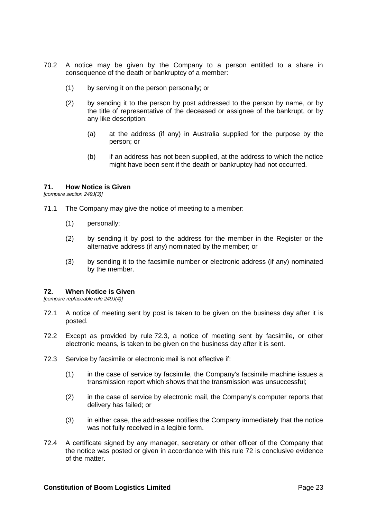- 70.2 A notice may be given by the Company to a person entitled to a share in consequence of the death or bankruptcy of a member:
	- (1) by serving it on the person personally; or
	- (2) by sending it to the person by post addressed to the person by name, or by the title of representative of the deceased or assignee of the bankrupt, or by any like description:
		- (a) at the address (if any) in Australia supplied for the purpose by the person; or
		- (b) if an address has not been supplied, at the address to which the notice might have been sent if the death or bankruptcy had not occurred.

## **71. How Notice is Given**

*[compare section 249J(3)]*

- 71.1 The Company may give the notice of meeting to a member:
	- (1) personally;
	- (2) by sending it by post to the address for the member in the Register or the alternative address (if any) nominated by the member; or
	- (3) by sending it to the facsimile number or electronic address (if any) nominated by the member.

#### <span id="page-29-1"></span>**72. When Notice is Given**

*[compare replaceable rule 249J(4)]*

- 72.1 A notice of meeting sent by post is taken to be given on the business day after it is posted.
- 72.2 Except as provided by rule [72.3,](#page-29-0) a notice of meeting sent by facsimile, or other electronic means, is taken to be given on the business day after it is sent.
- <span id="page-29-0"></span>72.3 Service by facsimile or electronic mail is not effective if:
	- (1) in the case of service by facsimile, the Company's facsimile machine issues a transmission report which shows that the transmission was unsuccessful;
	- (2) in the case of service by electronic mail, the Company's computer reports that delivery has failed; or
	- (3) in either case, the addressee notifies the Company immediately that the notice was not fully received in a legible form.
- 72.4 A certificate signed by any manager, secretary or other officer of the Company that the notice was posted or given in accordance with this rule [72](#page-29-1) is conclusive evidence of the matter.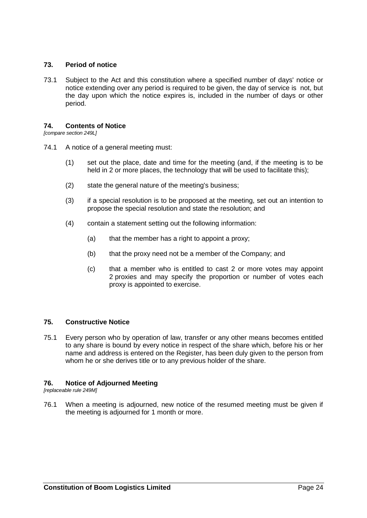## **73. Period of notice**

73.1 Subject to the Act and this constitution where a specified number of days' notice or notice extending over any period is required to be given, the day of service is not, but the day upon which the notice expires is, included in the number of days or other period.

## **74. Contents of Notice**

*[compare section 249L]*

- 74.1 A notice of a general meeting must:
	- (1) set out the place, date and time for the meeting (and, if the meeting is to be held in 2 or more places, the technology that will be used to facilitate this);
	- (2) state the general nature of the meeting's business;
	- (3) if a special resolution is to be proposed at the meeting, set out an intention to propose the special resolution and state the resolution; and
	- (4) contain a statement setting out the following information:
		- (a) that the member has a right to appoint a proxy;
		- (b) that the proxy need not be a member of the Company; and
		- (c) that a member who is entitled to cast 2 or more votes may appoint 2 proxies and may specify the proportion or number of votes each proxy is appointed to exercise.

## **75. Constructive Notice**

75.1 Every person who by operation of law, transfer or any other means becomes entitled to any share is bound by every notice in respect of the share which, before his or her name and address is entered on the Register, has been duly given to the person from whom he or she derives title or to any previous holder of the share.

## **76. Notice of Adjourned Meeting**

*[replaceable rule 249M]*

76.1 When a meeting is adjourned, new notice of the resumed meeting must be given if the meeting is adjourned for 1 month or more.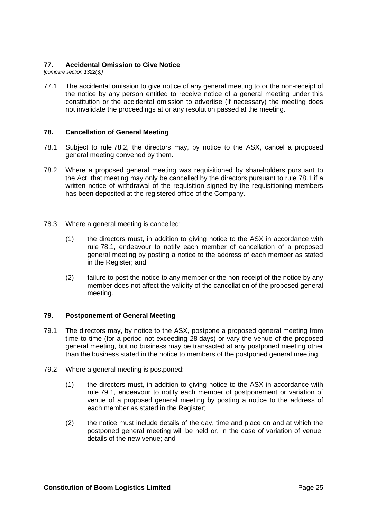## **77. Accidental Omission to Give Notice**

*[compare section 1322(3)]*

77.1 The accidental omission to give notice of any general meeting to or the non-receipt of the notice by any person entitled to receive notice of a general meeting under this constitution or the accidental omission to advertise (if necessary) the meeting does not invalidate the proceedings at or any resolution passed at the meeting.

## **78. Cancellation of General Meeting**

- <span id="page-31-1"></span>78.1 Subject to rule [78.2,](#page-31-0) the directors may, by notice to the ASX, cancel a proposed general meeting convened by them.
- <span id="page-31-0"></span>78.2 Where a proposed general meeting was requisitioned by shareholders pursuant to the Act, that meeting may only be cancelled by the directors pursuant to rule [78.1](#page-31-1) if a written notice of withdrawal of the requisition signed by the requisitioning members has been deposited at the registered office of the Company.
- 78.3 Where a general meeting is cancelled:
	- (1) the directors must, in addition to giving notice to the ASX in accordance with rule [78.1,](#page-31-1) endeavour to notify each member of cancellation of a proposed general meeting by posting a notice to the address of each member as stated in the Register; and
	- (2) failure to post the notice to any member or the non-receipt of the notice by any member does not affect the validity of the cancellation of the proposed general meeting.

## **79. Postponement of General Meeting**

- <span id="page-31-2"></span>79.1 The directors may, by notice to the ASX, postpone a proposed general meeting from time to time (for a period not exceeding 28 days) or vary the venue of the proposed general meeting, but no business may be transacted at any postponed meeting other than the business stated in the notice to members of the postponed general meeting.
- 79.2 Where a general meeting is postponed:
	- (1) the directors must, in addition to giving notice to the ASX in accordance with rule [79.1,](#page-31-2) endeavour to notify each member of postponement or variation of venue of a proposed general meeting by posting a notice to the address of each member as stated in the Register:
	- (2) the notice must include details of the day, time and place on and at which the postponed general meeting will be held or, in the case of variation of venue, details of the new venue; and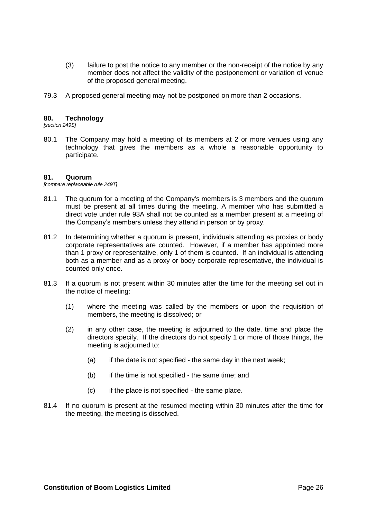- (3) failure to post the notice to any member or the non-receipt of the notice by any member does not affect the validity of the postponement or variation of venue of the proposed general meeting.
- 79.3 A proposed general meeting may not be postponed on more than 2 occasions.

## **80. Technology**

*[section 249S]*

80.1 The Company may hold a meeting of its members at 2 or more venues using any technology that gives the members as a whole a reasonable opportunity to participate.

#### **81. Quorum**

*[compare replaceable rule 249T]*

- 81.1 The quorum for a meeting of the Company's members is 3 members and the quorum must be present at all times during the meeting. A member who has submitted a direct vote under rule 93A shall not be counted as a member present at a meeting of the Company's members unless they attend in person or by proxy.
- 81.2 In determining whether a quorum is present, individuals attending as proxies or body corporate representatives are counted. However, if a member has appointed more than 1 proxy or representative, only 1 of them is counted. If an individual is attending both as a member and as a proxy or body corporate representative, the individual is counted only once.
- 81.3 If a quorum is not present within 30 minutes after the time for the meeting set out in the notice of meeting:
	- (1) where the meeting was called by the members or upon the requisition of members, the meeting is dissolved; or
	- (2) in any other case, the meeting is adjourned to the date, time and place the directors specify. If the directors do not specify 1 or more of those things, the meeting is adjourned to:
		- $(a)$  if the date is not specified the same day in the next week;
		- (b) if the time is not specified the same time; and
		- (c) if the place is not specified the same place.
- 81.4 If no quorum is present at the resumed meeting within 30 minutes after the time for the meeting, the meeting is dissolved.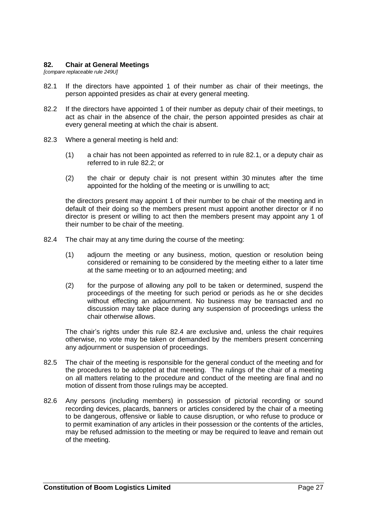#### **82. Chair at General Meetings**

<span id="page-33-0"></span>*[compare replaceable rule 249U]*

- 82.1 If the directors have appointed 1 of their number as chair of their meetings, the person appointed presides as chair at every general meeting.
- <span id="page-33-1"></span>82.2 If the directors have appointed 1 of their number as deputy chair of their meetings, to act as chair in the absence of the chair, the person appointed presides as chair at every general meeting at which the chair is absent.
- 82.3 Where a general meeting is held and:
	- (1) a chair has not been appointed as referred to in rule [82.1,](#page-33-0) or a deputy chair as referred to in rule [82.2;](#page-33-1) or
	- (2) the chair or deputy chair is not present within 30 minutes after the time appointed for the holding of the meeting or is unwilling to act;

the directors present may appoint 1 of their number to be chair of the meeting and in default of their doing so the members present must appoint another director or if no director is present or willing to act then the members present may appoint any 1 of their number to be chair of the meeting.

- <span id="page-33-2"></span>82.4 The chair may at any time during the course of the meeting:
	- (1) adjourn the meeting or any business, motion, question or resolution being considered or remaining to be considered by the meeting either to a later time at the same meeting or to an adjourned meeting; and
	- (2) for the purpose of allowing any poll to be taken or determined, suspend the proceedings of the meeting for such period or periods as he or she decides without effecting an adjournment. No business may be transacted and no discussion may take place during any suspension of proceedings unless the chair otherwise allows.

The chair's rights under this rule [82.4](#page-33-2) are exclusive and, unless the chair requires otherwise, no vote may be taken or demanded by the members present concerning any adjournment or suspension of proceedings.

- 82.5 The chair of the meeting is responsible for the general conduct of the meeting and for the procedures to be adopted at that meeting. The rulings of the chair of a meeting on all matters relating to the procedure and conduct of the meeting are final and no motion of dissent from those rulings may be accepted.
- 82.6 Any persons (including members) in possession of pictorial recording or sound recording devices, placards, banners or articles considered by the chair of a meeting to be dangerous, offensive or liable to cause disruption, or who refuse to produce or to permit examination of any articles in their possession or the contents of the articles, may be refused admission to the meeting or may be required to leave and remain out of the meeting.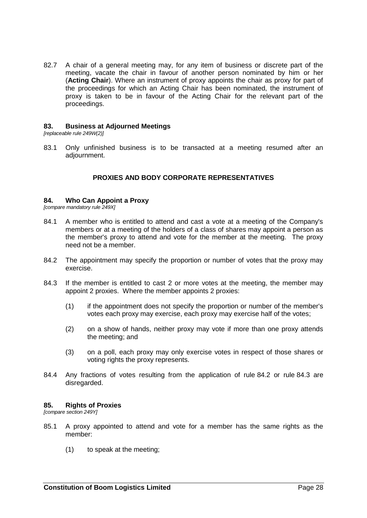82.7 A chair of a general meeting may, for any item of business or discrete part of the meeting, vacate the chair in favour of another person nominated by him or her (**Acting Chair**). Where an instrument of proxy appoints the chair as proxy for part of the proceedings for which an Acting Chair has been nominated, the instrument of proxy is taken to be in favour of the Acting Chair for the relevant part of the proceedings.

#### **83. Business at Adjourned Meetings**

*[replaceable rule 249W(2)]*

83.1 Only unfinished business is to be transacted at a meeting resumed after an adjournment.

#### **PROXIES AND BODY CORPORATE REPRESENTATIVES**

#### **84. Who Can Appoint a Proxy**

*[compare mandatory rule 249X]*

- 84.1 A member who is entitled to attend and cast a vote at a meeting of the Company's members or at a meeting of the holders of a class of shares may appoint a person as the member's proxy to attend and vote for the member at the meeting. The proxy need not be a member.
- <span id="page-34-0"></span>84.2 The appointment may specify the proportion or number of votes that the proxy may exercise.
- <span id="page-34-1"></span>84.3 If the member is entitled to cast 2 or more votes at the meeting, the member may appoint 2 proxies. Where the member appoints 2 proxies:
	- (1) if the appointment does not specify the proportion or number of the member's votes each proxy may exercise, each proxy may exercise half of the votes;
	- (2) on a show of hands, neither proxy may vote if more than one proxy attends the meeting; and
	- (3) on a poll, each proxy may only exercise votes in respect of those shares or voting rights the proxy represents.
- 84.4 Any fractions of votes resulting from the application of rule [84.2](#page-34-0) or rule [84.3](#page-34-1) are disregarded.

#### **85. Rights of Proxies**

*[compare section 249Y]*

- 85.1 A proxy appointed to attend and vote for a member has the same rights as the member:
	- (1) to speak at the meeting;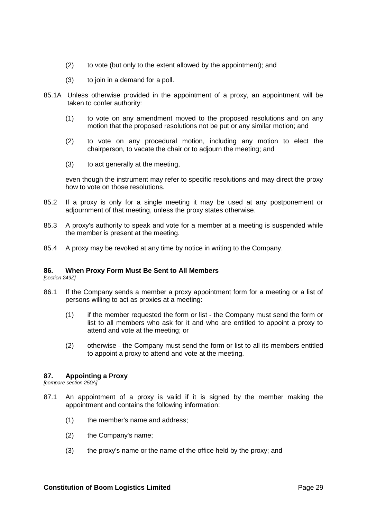- (2) to vote (but only to the extent allowed by the appointment); and
- (3) to join in a demand for a poll.
- 85.1A Unless otherwise provided in the appointment of a proxy, an appointment will be taken to confer authority:
	- (1) to vote on any amendment moved to the proposed resolutions and on any motion that the proposed resolutions not be put or any similar motion; and
	- (2) to vote on any procedural motion, including any motion to elect the chairperson, to vacate the chair or to adjourn the meeting; and
	- (3) to act generally at the meeting,

even though the instrument may refer to specific resolutions and may direct the proxy how to vote on those resolutions.

- 85.2 If a proxy is only for a single meeting it may be used at any postponement or adjournment of that meeting, unless the proxy states otherwise.
- 85.3 A proxy's authority to speak and vote for a member at a meeting is suspended while the member is present at the meeting.
- 85.4 A proxy may be revoked at any time by notice in writing to the Company.

#### **86. When Proxy Form Must Be Sent to All Members**

*[section 249Z]*

- 86.1 If the Company sends a member a proxy appointment form for a meeting or a list of persons willing to act as proxies at a meeting:
	- (1) if the member requested the form or list the Company must send the form or list to all members who ask for it and who are entitled to appoint a proxy to attend and vote at the meeting; or
	- (2) otherwise the Company must send the form or list to all its members entitled to appoint a proxy to attend and vote at the meeting.

#### **87. Appointing a Proxy**

*[compare section 250A]*

- 87.1 An appointment of a proxy is valid if it is signed by the member making the appointment and contains the following information:
	- (1) the member's name and address;
	- (2) the Company's name;
	- (3) the proxy's name or the name of the office held by the proxy; and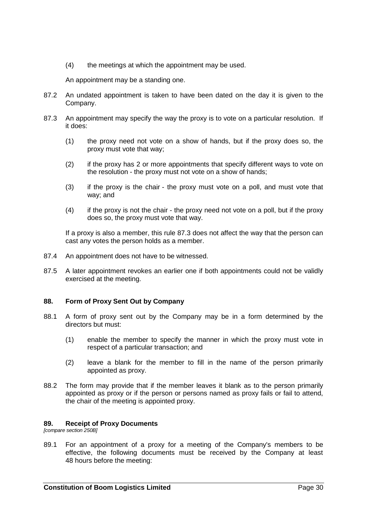(4) the meetings at which the appointment may be used.

An appointment may be a standing one.

- 87.2 An undated appointment is taken to have been dated on the day it is given to the Company.
- <span id="page-36-0"></span>87.3 An appointment may specify the way the proxy is to vote on a particular resolution. If it does:
	- (1) the proxy need not vote on a show of hands, but if the proxy does so, the proxy must vote that way;
	- (2) if the proxy has 2 or more appointments that specify different ways to vote on the resolution - the proxy must not vote on a show of hands;
	- (3) if the proxy is the chair the proxy must vote on a poll, and must vote that way; and
	- (4) if the proxy is not the chair the proxy need not vote on a poll, but if the proxy does so, the proxy must vote that way.

If a proxy is also a member, this rule [87.3](#page-36-0) does not affect the way that the person can cast any votes the person holds as a member.

- 87.4 An appointment does not have to be witnessed.
- 87.5 A later appointment revokes an earlier one if both appointments could not be validly exercised at the meeting.

# **88. Form of Proxy Sent Out by Company**

- 88.1 A form of proxy sent out by the Company may be in a form determined by the directors but must:
	- (1) enable the member to specify the manner in which the proxy must vote in respect of a particular transaction; and
	- (2) leave a blank for the member to fill in the name of the person primarily appointed as proxy.
- 88.2 The form may provide that if the member leaves it blank as to the person primarily appointed as proxy or if the person or persons named as proxy fails or fail to attend, the chair of the meeting is appointed proxy.

#### **89. Receipt of Proxy Documents**

<span id="page-36-1"></span>*[compare section 250B]*

89.1 For an appointment of a proxy for a meeting of the Company's members to be effective, the following documents must be received by the Company at least 48 hours before the meeting: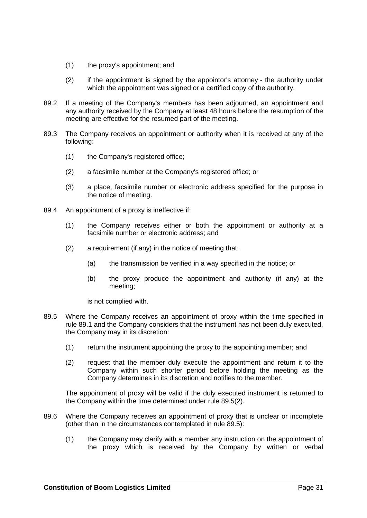- (1) the proxy's appointment; and
- (2) if the appointment is signed by the appointor's attorney the authority under which the appointment was signed or a certified copy of the authority.
- 89.2 If a meeting of the Company's members has been adjourned, an appointment and any authority received by the Company at least 48 hours before the resumption of the meeting are effective for the resumed part of the meeting.
- 89.3 The Company receives an appointment or authority when it is received at any of the following:
	- (1) the Company's registered office;
	- (2) a facsimile number at the Company's registered office; or
	- (3) a place, facsimile number or electronic address specified for the purpose in the notice of meeting.
- 89.4 An appointment of a proxy is ineffective if:
	- (1) the Company receives either or both the appointment or authority at a facsimile number or electronic address; and
	- (2) a requirement (if any) in the notice of meeting that:
		- (a) the transmission be verified in a way specified in the notice; or
		- (b) the proxy produce the appointment and authority (if any) at the meeting;

is not complied with.

- <span id="page-37-1"></span>89.5 Where the Company receives an appointment of proxy within the time specified in rule [89.1](#page-36-1) and the Company considers that the instrument has not been duly executed, the Company may in its discretion:
	- (1) return the instrument appointing the proxy to the appointing member; and
	- (2) request that the member duly execute the appointment and return it to the Company within such shorter period before holding the meeting as the Company determines in its discretion and notifies to the member.

<span id="page-37-0"></span>The appointment of proxy will be valid if the duly executed instrument is returned to the Company within the time determined under rule [89.5\(2\).](#page-37-0)

- <span id="page-37-2"></span>89.6 Where the Company receives an appointment of proxy that is unclear or incomplete (other than in the circumstances contemplated in rule [89.5\)](#page-37-1):
	- (1) the Company may clarify with a member any instruction on the appointment of the proxy which is received by the Company by written or verbal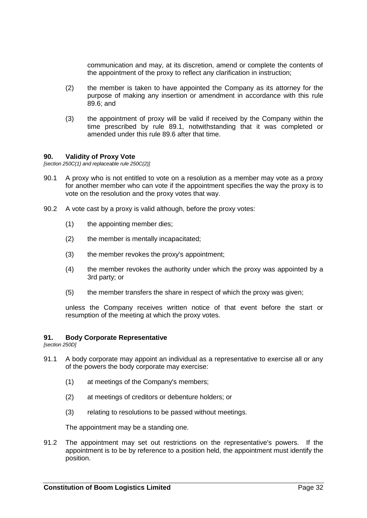communication and may, at its discretion, amend or complete the contents of the appointment of the proxy to reflect any clarification in instruction;

- (2) the member is taken to have appointed the Company as its attorney for the purpose of making any insertion or amendment in accordance with this rule [89.6;](#page-37-2) and
- (3) the appointment of proxy will be valid if received by the Company within the time prescribed by rule [89.1,](#page-36-1) notwithstanding that it was completed or amended under this rule [89.6](#page-37-2) after that time.

### **90. Validity of Proxy Vote**

*[section 250C(1) and replaceable rule 250C(2)]*

- 90.1 A proxy who is not entitled to vote on a resolution as a member may vote as a proxy for another member who can vote if the appointment specifies the way the proxy is to vote on the resolution and the proxy votes that way.
- 90.2 A vote cast by a proxy is valid although, before the proxy votes:
	- (1) the appointing member dies;
	- (2) the member is mentally incapacitated;
	- (3) the member revokes the proxy's appointment;
	- (4) the member revokes the authority under which the proxy was appointed by a 3rd party; or
	- (5) the member transfers the share in respect of which the proxy was given;

unless the Company receives written notice of that event before the start or resumption of the meeting at which the proxy votes.

## **91. Body Corporate Representative**

*[section 250D]*

- 91.1 A body corporate may appoint an individual as a representative to exercise all or any of the powers the body corporate may exercise:
	- (1) at meetings of the Company's members;
	- (2) at meetings of creditors or debenture holders; or
	- (3) relating to resolutions to be passed without meetings.

The appointment may be a standing one.

91.2 The appointment may set out restrictions on the representative's powers. If the appointment is to be by reference to a position held, the appointment must identify the position.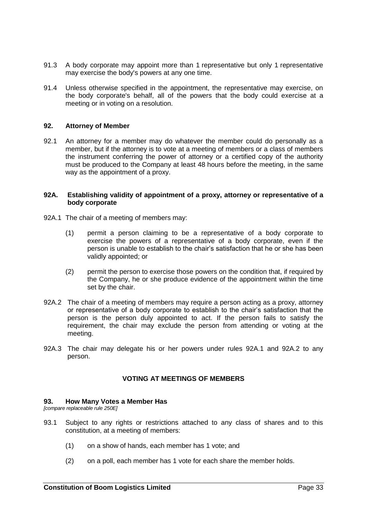- 91.3 A body corporate may appoint more than 1 representative but only 1 representative may exercise the body's powers at any one time.
- 91.4 Unless otherwise specified in the appointment, the representative may exercise, on the body corporate's behalf, all of the powers that the body could exercise at a meeting or in voting on a resolution.

### **92. Attorney of Member**

92.1 An attorney for a member may do whatever the member could do personally as a member, but if the attorney is to vote at a meeting of members or a class of members the instrument conferring the power of attorney or a certified copy of the authority must be produced to the Company at least 48 hours before the meeting, in the same way as the appointment of a proxy.

#### **92A. Establishing validity of appointment of a proxy, attorney or representative of a body corporate**

- 92A.1 The chair of a meeting of members may:
	- (1) permit a person claiming to be a representative of a body corporate to exercise the powers of a representative of a body corporate, even if the person is unable to establish to the chair's satisfaction that he or she has been validly appointed; or
	- (2) permit the person to exercise those powers on the condition that, if required by the Company, he or she produce evidence of the appointment within the time set by the chair.
- 92A.2 The chair of a meeting of members may require a person acting as a proxy, attorney or representative of a body corporate to establish to the chair's satisfaction that the person is the person duly appointed to act. If the person fails to satisfy the requirement, the chair may exclude the person from attending or voting at the meeting.
- 92A.3 The chair may delegate his or her powers under rules 92A.1 and 92A.2 to any person.

#### **VOTING AT MEETINGS OF MEMBERS**

# **93. How Many Votes a Member Has**

*[compare replaceable rule 250E]*

- 93.1 Subject to any rights or restrictions attached to any class of shares and to this constitution, at a meeting of members:
	- (1) on a show of hands, each member has 1 vote; and
	- (2) on a poll, each member has 1 vote for each share the member holds.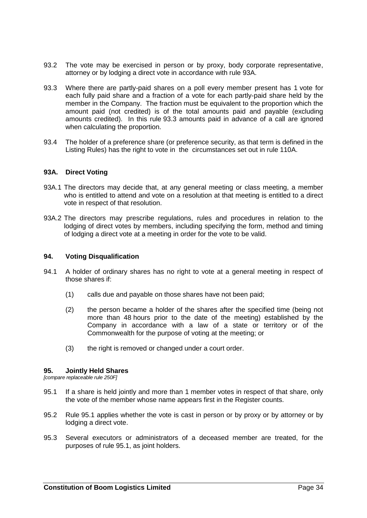- 93.2 The vote may be exercised in person or by proxy, body corporate representative, attorney or by lodging a direct vote in accordance with rule 93A.
- <span id="page-40-0"></span>93.3 Where there are partly-paid shares on a poll every member present has 1 vote for each fully paid share and a fraction of a vote for each partly-paid share held by the member in the Company. The fraction must be equivalent to the proportion which the amount paid (not credited) is of the total amounts paid and payable (excluding amounts credited). In this rule [93.3](#page-40-0) amounts paid in advance of a call are ignored when calculating the proportion.
- 93.4 The holder of a preference share (or preference security, as that term is defined in the Listing Rules) has the right to vote in the circumstances set out in rule 110A.

### **93A. Direct Voting**

- 93A.1 The directors may decide that, at any general meeting or class meeting, a member who is entitled to attend and vote on a resolution at that meeting is entitled to a direct vote in respect of that resolution.
- 93A.2 The directors may prescribe regulations, rules and procedures in relation to the lodging of direct votes by members, including specifying the form, method and timing of lodging a direct vote at a meeting in order for the vote to be valid.

#### **94. Voting Disqualification**

- 94.1 A holder of ordinary shares has no right to vote at a general meeting in respect of those shares if:
	- (1) calls due and payable on those shares have not been paid;
	- (2) the person became a holder of the shares after the specified time (being not more than 48 hours prior to the date of the meeting) established by the Company in accordance with a law of a state or territory or of the Commonwealth for the purpose of voting at the meeting; or
	- (3) the right is removed or changed under a court order.

# **95. Jointly Held Shares**

<span id="page-40-1"></span>*[compare replaceable rule 250F]*

- 95.1 If a share is held jointly and more than 1 member votes in respect of that share, only the vote of the member whose name appears first in the Register counts.
- 95.2 Rule [95.1](#page-40-1) applies whether the vote is cast in person or by proxy or by attorney or by lodging a direct vote.
- 95.3 Several executors or administrators of a deceased member are treated, for the purposes of rule [95.1,](#page-40-1) as joint holders.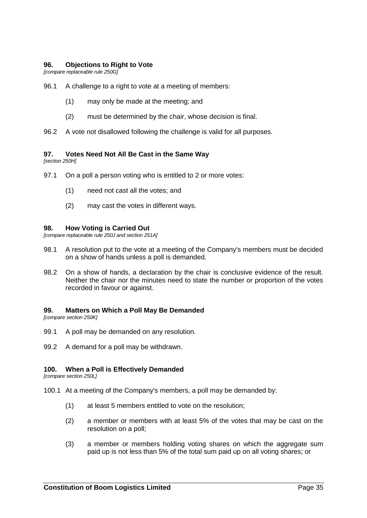## **96. Objections to Right to Vote**

*[compare replaceable rule 250G]*

- 96.1 A challenge to a right to vote at a meeting of members:
	- (1) may only be made at the meeting; and
	- (2) must be determined by the chair, whose decision is final.
- 96.2 A vote not disallowed following the challenge is valid for all purposes.

### **97. Votes Need Not All Be Cast in the Same Way**

*[section 250H]*

- 97.1 On a poll a person voting who is entitled to 2 or more votes:
	- (1) need not cast all the votes; and
	- (2) may cast the votes in different ways.

#### **98. How Voting is Carried Out**

*[compare replaceable rule 250J and section 251A]*

- 98.1 A resolution put to the vote at a meeting of the Company's members must be decided on a show of hands unless a poll is demanded.
- 98.2 On a show of hands, a declaration by the chair is conclusive evidence of the result. Neither the chair nor the minutes need to state the number or proportion of the votes recorded in favour or against.

#### **99. Matters on Which a Poll May Be Demanded**

*[compare section 250K]*

- 99.1 A poll may be demanded on any resolution.
- 99.2 A demand for a poll may be withdrawn.

### **100. When a Poll is Effectively Demanded**

*[compare section 250L]*

- 100.1 At a meeting of the Company's members, a poll may be demanded by:
	- (1) at least 5 members entitled to vote on the resolution;
	- (2) a member or members with at least 5% of the votes that may be cast on the resolution on a poll;
	- (3) a member or members holding voting shares on which the aggregate sum paid up is not less than 5% of the total sum paid up on all voting shares; or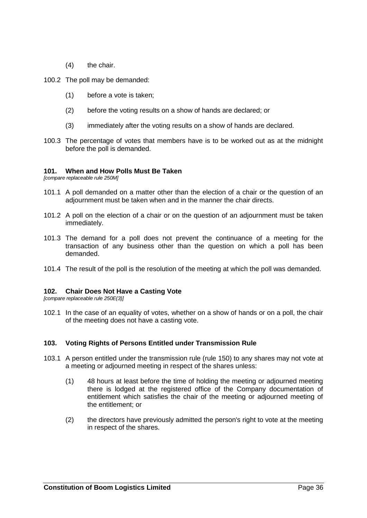- (4) the chair.
- 100.2 The poll may be demanded:
	- (1) before a vote is taken;
	- (2) before the voting results on a show of hands are declared; or
	- (3) immediately after the voting results on a show of hands are declared.
- 100.3 The percentage of votes that members have is to be worked out as at the midnight before the poll is demanded.

### **101. When and How Polls Must Be Taken**

*[compare replaceable rule 250M]*

- 101.1 A poll demanded on a matter other than the election of a chair or the question of an adjournment must be taken when and in the manner the chair directs.
- 101.2 A poll on the election of a chair or on the question of an adjournment must be taken immediately.
- 101.3 The demand for a poll does not prevent the continuance of a meeting for the transaction of any business other than the question on which a poll has been demanded.
- 101.4 The result of the poll is the resolution of the meeting at which the poll was demanded.

# **102. Chair Does Not Have a Casting Vote**

*[compare replaceable rule 250E(3)]*

102.1 In the case of an equality of votes, whether on a show of hands or on a poll, the chair of the meeting does not have a casting vote.

# **103. Voting Rights of Persons Entitled under Transmission Rule**

- 103.1 A person entitled under the transmission rule (rule [150\)](#page-68-0) to any shares may not vote at a meeting or adjourned meeting in respect of the shares unless:
	- (1) 48 hours at least before the time of holding the meeting or adjourned meeting there is lodged at the registered office of the Company documentation of entitlement which satisfies the chair of the meeting or adjourned meeting of the entitlement; or
	- (2) the directors have previously admitted the person's right to vote at the meeting in respect of the shares.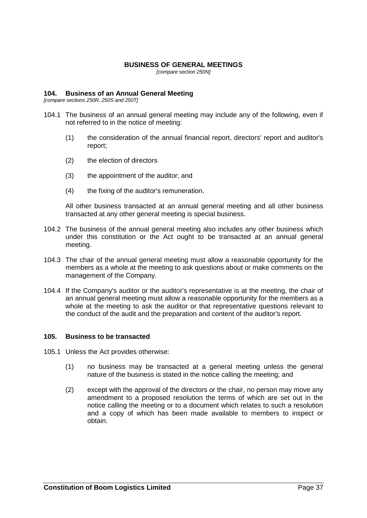### **BUSINESS OF GENERAL MEETINGS**

*[compare section 250N]*

## **104. Business of an Annual General Meeting**

*[compare sections 250R, 250S and 250T]*

- 104.1 The business of an annual general meeting may include any of the following, even if not referred to in the notice of meeting:
	- (1) the consideration of the annual financial report, directors' report and auditor's report;
	- (2) the election of directors
	- (3) the appointment of the auditor; and
	- (4) the fixing of the auditor's remuneration.

All other business transacted at an annual general meeting and all other business transacted at any other general meeting is special business.

- 104.2 The business of the annual general meeting also includes any other business which under this constitution or the Act ought to be transacted at an annual general meeting.
- 104.3 The chair of the annual general meeting must allow a reasonable opportunity for the members as a whole at the meeting to ask questions about or make comments on the management of the Company.
- 104.4 If the Company's auditor or the auditor's representative is at the meeting, the chair of an annual general meeting must allow a reasonable opportunity for the members as a whole at the meeting to ask the auditor or that representative questions relevant to the conduct of the audit and the preparation and content of the auditor's report.

# **105. Business to be transacted**

- 105.1 Unless the Act provides otherwise:
	- (1) no business may be transacted at a general meeting unless the general nature of the business is stated in the notice calling the meeting; and
	- (2) except with the approval of the directors or the chair, no person may move any amendment to a proposed resolution the terms of which are set out in the notice calling the meeting or to a document which relates to such a resolution and a copy of which has been made available to members to inspect or obtain.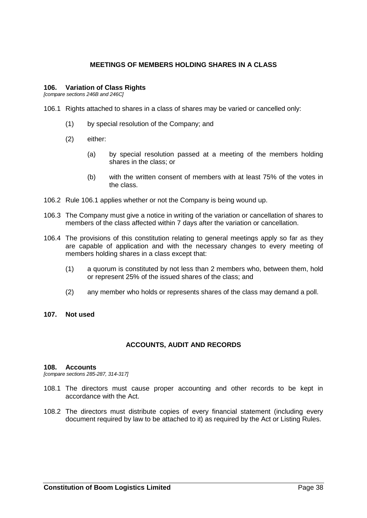# **MEETINGS OF MEMBERS HOLDING SHARES IN A CLASS**

### **106. Variation of Class Rights**

<span id="page-44-0"></span>*[compare sections 246B and 246C]*

- 106.1 Rights attached to shares in a class of shares may be varied or cancelled only:
	- (1) by special resolution of the Company; and
	- (2) either:
		- (a) by special resolution passed at a meeting of the members holding shares in the class; or
		- (b) with the written consent of members with at least 75% of the votes in the class.
- 106.2 Rule [106.1](#page-44-0) applies whether or not the Company is being wound up.
- 106.3 The Company must give a notice in writing of the variation or cancellation of shares to members of the class affected within 7 days after the variation or cancellation.
- 106.4 The provisions of this constitution relating to general meetings apply so far as they are capable of application and with the necessary changes to every meeting of members holding shares in a class except that:
	- (1) a quorum is constituted by not less than 2 members who, between them, hold or represent 25% of the issued shares of the class; and
	- (2) any member who holds or represents shares of the class may demand a poll.

### **107. Not used**

# **ACCOUNTS, AUDIT AND RECORDS**

### **108. Accounts**

*[compare sections 285-287, 314-317]*

- 108.1 The directors must cause proper accounting and other records to be kept in accordance with the Act.
- 108.2 The directors must distribute copies of every financial statement (including every document required by law to be attached to it) as required by the Act or Listing Rules.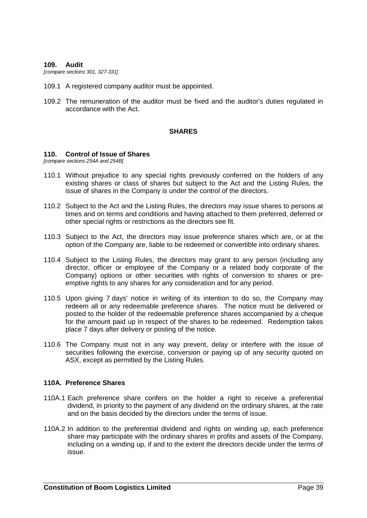#### **109. Audit**

*[compare sections 301, 327-331]*

- 109.1 A registered company auditor must be appointed.
- 109.2 The remuneration of the auditor must be fixed and the auditor's duties regulated in accordance with the Act.

#### **SHARES**

#### <span id="page-45-0"></span>**110. Control of Issue of Shares**

*[compare sections 254A and 254B]*

- 110.1 Without prejudice to any special rights previously conferred on the holders of any existing shares or class of shares but subject to the Act and the Listing Rules, the issue of shares in the Company is under the control of the directors.
- 110.2 Subject to the Act and the Listing Rules, the directors may issue shares to persons at times and on terms and conditions and having attached to them preferred, deferred or other special rights or restrictions as the directors see fit.
- 110.3 Subject to the Act, the directors may issue preference shares which are, or at the option of the Company are, liable to be redeemed or convertible into ordinary shares.
- 110.4 Subject to the Listing Rules, the directors may grant to any person (including any director, officer or employee of the Company or a related body corporate of the Company) options or other securities with rights of conversion to shares or preemptive rights to any shares for any consideration and for any period.
- 110.5 Upon giving 7 days' notice in writing of its intention to do so, the Company may redeem all or any redeemable preference shares. The notice must be delivered or posted to the holder of the redeemable preference shares accompanied by a cheque for the amount paid up in respect of the shares to be redeemed. Redemption takes place 7 days after delivery or posting of the notice.
- 110.6 The Company must not in any way prevent, delay or interfere with the issue of securities following the exercise, conversion or paying up of any security quoted on ASX, except as permitted by the Listing Rules.

### **110A. Preference Shares**

- 110A.1 Each preference share confers on the holder a right to receive a preferential dividend, in priority to the payment of any dividend on the ordinary shares, at the rate and on the basis decided by the directors under the terms of issue.
- 110A.2 In addition to the preferential dividend and rights on winding up, each preference share may participate with the ordinary shares in profits and assets of the Company, including on a winding up, if and to the extent the directors decide under the terms of issue.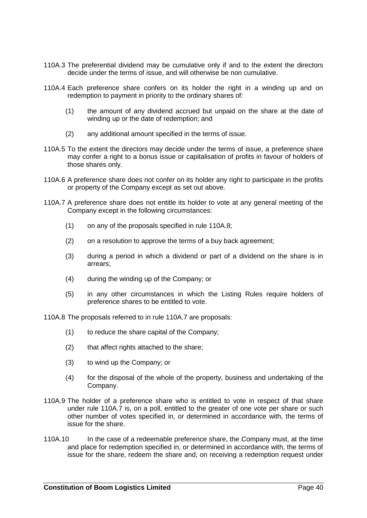- 110A.3 The preferential dividend may be cumulative only if and to the extent the directors decide under the terms of issue, and will otherwise be non cumulative.
- 110A.4 Each preference share confers on its holder the right in a winding up and on redemption to payment in priority to the ordinary shares of:
	- (1) the amount of any dividend accrued but unpaid on the share at the date of winding up or the date of redemption; and
	- (2) any additional amount specified in the terms of issue.
- 110A.5 To the extent the directors may decide under the terms of issue, a preference share may confer a right to a bonus issue or capitalisation of profits in favour of holders of those shares only.
- 110A.6 A preference share does not confer on its holder any right to participate in the profits or property of the Company except as set out above.
- 110A.7 A preference share does not entitle its holder to vote at any general meeting of the Company except in the following circumstances:
	- (1) on any of the proposals specified in rule 110A.8;
	- (2) on a resolution to approve the terms of a buy back agreement;
	- (3) during a period in which a dividend or part of a dividend on the share is in arrears;
	- (4) during the winding up of the Company; or
	- (5) in any other circumstances in which the Listing Rules require holders of preference shares to be entitled to vote.

110A.8 The proposals referred to in rule 110A.7 are proposals:

- (1) to reduce the share capital of the Company;
- (2) that affect rights attached to the share;
- (3) to wind up the Company; or
- (4) for the disposal of the whole of the property, business and undertaking of the Company.
- 110A.9 The holder of a preference share who is entitled to vote in respect of that share under rule 110A.7 is, on a poll, entitled to the greater of one vote per share or such other number of votes specified in, or determined in accordance with, the terms of issue for the share.
- 110A.10 In the case of a redeemable preference share, the Company must, at the time and place for redemption specified in, or determined in accordance with, the terms of issue for the share, redeem the share and, on receiving a redemption request under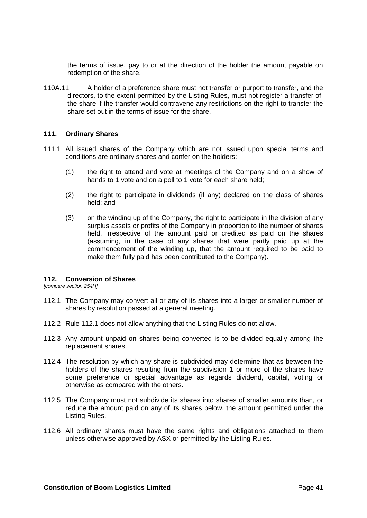the terms of issue, pay to or at the direction of the holder the amount payable on redemption of the share.

110A.11 A holder of a preference share must not transfer or purport to transfer, and the directors, to the extent permitted by the Listing Rules, must not register a transfer of, the share if the transfer would contravene any restrictions on the right to transfer the share set out in the terms of issue for the share.

### **111. Ordinary Shares**

- 111.1 All issued shares of the Company which are not issued upon special terms and conditions are ordinary shares and confer on the holders:
	- (1) the right to attend and vote at meetings of the Company and on a show of hands to 1 vote and on a poll to 1 vote for each share held;
	- (2) the right to participate in dividends (if any) declared on the class of shares held; and
	- (3) on the winding up of the Company, the right to participate in the division of any surplus assets or profits of the Company in proportion to the number of shares held, irrespective of the amount paid or credited as paid on the shares (assuming, in the case of any shares that were partly paid up at the commencement of the winding up, that the amount required to be paid to make them fully paid has been contributed to the Company).

### **112. Conversion of Shares**

<span id="page-47-0"></span>*[compare section 254H]*

- 112.1 The Company may convert all or any of its shares into a larger or smaller number of shares by resolution passed at a general meeting.
- 112.2 Rule [112.1](#page-47-0) does not allow anything that the Listing Rules do not allow.
- 112.3 Any amount unpaid on shares being converted is to be divided equally among the replacement shares.
- 112.4 The resolution by which any share is subdivided may determine that as between the holders of the shares resulting from the subdivision 1 or more of the shares have some preference or special advantage as regards dividend, capital, voting or otherwise as compared with the others.
- 112.5 The Company must not subdivide its shares into shares of smaller amounts than, or reduce the amount paid on any of its shares below, the amount permitted under the Listing Rules.
- 112.6 All ordinary shares must have the same rights and obligations attached to them unless otherwise approved by ASX or permitted by the Listing Rules.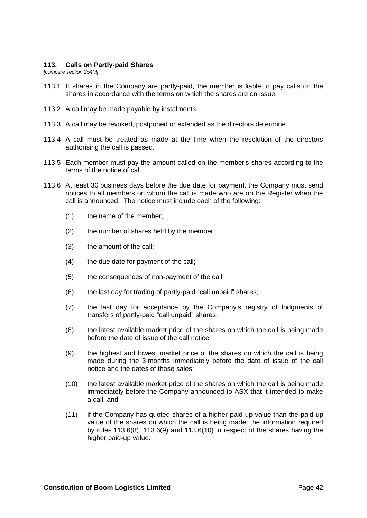### **113. Calls on Partly-paid Shares**

*[compare section 254M]*

- 113.1 If shares in the Company are partly-paid, the member is liable to pay calls on the shares in accordance with the terms on which the shares are on issue.
- 113.2 A call may be made payable by instalments.
- 113.3 A call may be revoked, postponed or extended as the directors determine.
- 113.4 A call must be treated as made at the time when the resolution of the directors authorising the call is passed.
- 113.5 Each member must pay the amount called on the member's shares according to the terms of the notice of call.
- <span id="page-48-2"></span><span id="page-48-1"></span><span id="page-48-0"></span>113.6 At least 30 business days before the due date for payment, the Company must send notices to all members on whom the call is made who are on the Register when the call is announced. The notice must include each of the following:
	- (1) the name of the member;
	- (2) the number of shares held by the member;
	- (3) the amount of the call;
	- (4) the due date for payment of the call;
	- (5) the consequences of non-payment of the call;
	- (6) the last day for trading of partly-paid "call unpaid" shares;
	- (7) the last day for acceptance by the Company's registry of lodgments of transfers of partly-paid "call unpaid" shares;
	- (8) the latest available market price of the shares on which the call is being made before the date of issue of the call notice;
	- (9) the highest and lowest market price of the shares on which the call is being made during the 3 months immediately before the date of issue of the call notice and the dates of those sales;
	- (10) the latest available market price of the shares on which the call is being made immediately before the Company announced to ASX that it intended to make a call; and
	- (11) if the Company has quoted shares of a higher paid-up value than the paid-up value of the shares on which the call is being made, the information required by rules [113.6\(8\),](#page-48-0) [113.6\(9\)](#page-48-1) and [113.6\(10\)](#page-48-2) in respect of the shares having the higher paid-up value.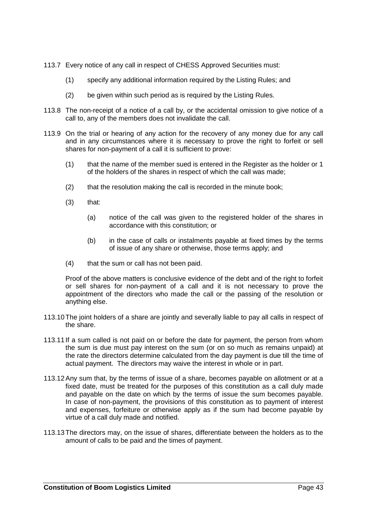- 113.7 Every notice of any call in respect of CHESS Approved Securities must:
	- (1) specify any additional information required by the Listing Rules; and
	- (2) be given within such period as is required by the Listing Rules.
- 113.8 The non-receipt of a notice of a call by, or the accidental omission to give notice of a call to, any of the members does not invalidate the call.
- 113.9 On the trial or hearing of any action for the recovery of any money due for any call and in any circumstances where it is necessary to prove the right to forfeit or sell shares for non-payment of a call it is sufficient to prove:
	- (1) that the name of the member sued is entered in the Register as the holder or 1 of the holders of the shares in respect of which the call was made;
	- (2) that the resolution making the call is recorded in the minute book;
	- $(3)$  that:
		- (a) notice of the call was given to the registered holder of the shares in accordance with this constitution; or
		- (b) in the case of calls or instalments payable at fixed times by the terms of issue of any share or otherwise, those terms apply; and
	- (4) that the sum or call has not been paid.

Proof of the above matters is conclusive evidence of the debt and of the right to forfeit or sell shares for non-payment of a call and it is not necessary to prove the appointment of the directors who made the call or the passing of the resolution or anything else.

- 113.10The joint holders of a share are jointly and severally liable to pay all calls in respect of the share.
- 113.11 If a sum called is not paid on or before the date for payment, the person from whom the sum is due must pay interest on the sum (or on so much as remains unpaid) at the rate the directors determine calculated from the day payment is due till the time of actual payment. The directors may waive the interest in whole or in part.
- 113.12Any sum that, by the terms of issue of a share, becomes payable on allotment or at a fixed date, must be treated for the purposes of this constitution as a call duly made and payable on the date on which by the terms of issue the sum becomes payable. In case of non-payment, the provisions of this constitution as to payment of interest and expenses, forfeiture or otherwise apply as if the sum had become payable by virtue of a call duly made and notified.
- 113.13The directors may, on the issue of shares, differentiate between the holders as to the amount of calls to be paid and the times of payment.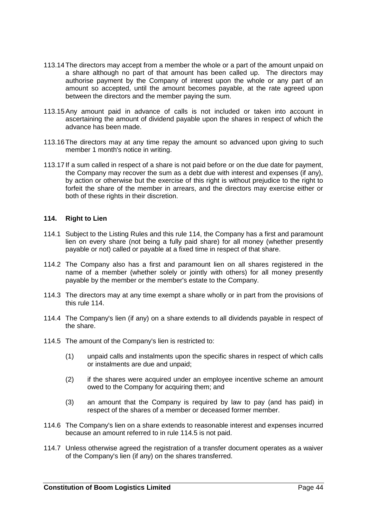- 113.14The directors may accept from a member the whole or a part of the amount unpaid on a share although no part of that amount has been called up. The directors may authorise payment by the Company of interest upon the whole or any part of an amount so accepted, until the amount becomes payable, at the rate agreed upon between the directors and the member paying the sum.
- 113.15Any amount paid in advance of calls is not included or taken into account in ascertaining the amount of dividend payable upon the shares in respect of which the advance has been made.
- 113.16The directors may at any time repay the amount so advanced upon giving to such member 1 month's notice in writing.
- 113.17 If a sum called in respect of a share is not paid before or on the due date for payment, the Company may recover the sum as a debt due with interest and expenses (if any), by action or otherwise but the exercise of this right is without prejudice to the right to forfeit the share of the member in arrears, and the directors may exercise either or both of these rights in their discretion.

# <span id="page-50-0"></span>**114. Right to Lien**

- 114.1 Subject to the Listing Rules and this rule [114,](#page-50-0) the Company has a first and paramount lien on every share (not being a fully paid share) for all money (whether presently payable or not) called or payable at a fixed time in respect of that share.
- 114.2 The Company also has a first and paramount lien on all shares registered in the name of a member (whether solely or jointly with others) for all money presently payable by the member or the member's estate to the Company.
- 114.3 The directors may at any time exempt a share wholly or in part from the provisions of this rule [114.](#page-50-0)
- 114.4 The Company's lien (if any) on a share extends to all dividends payable in respect of the share.
- <span id="page-50-1"></span>114.5 The amount of the Company's lien is restricted to:
	- (1) unpaid calls and instalments upon the specific shares in respect of which calls or instalments are due and unpaid;
	- (2) if the shares were acquired under an employee incentive scheme an amount owed to the Company for acquiring them; and
	- (3) an amount that the Company is required by law to pay (and has paid) in respect of the shares of a member or deceased former member.
- 114.6 The Company's lien on a share extends to reasonable interest and expenses incurred because an amount referred to in rule [114.5](#page-50-1) is not paid.
- 114.7 Unless otherwise agreed the registration of a transfer document operates as a waiver of the Company's lien (if any) on the shares transferred.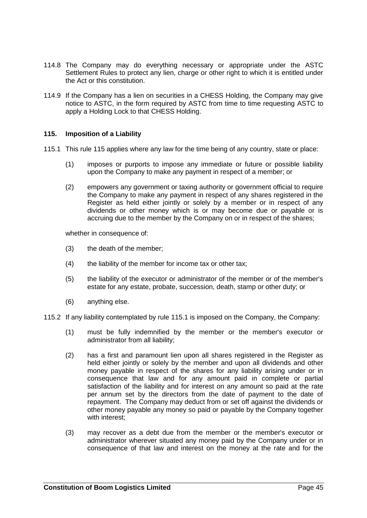- 114.8 The Company may do everything necessary or appropriate under the ASTC Settlement Rules to protect any lien, charge or other right to which it is entitled under the Act or this constitution.
- 114.9 If the Company has a lien on securities in a CHESS Holding, the Company may give notice to ASTC, in the form required by ASTC from time to time requesting ASTC to apply a Holding Lock to that CHESS Holding.

# <span id="page-51-1"></span><span id="page-51-0"></span>**115. Imposition of a Liability**

- 115.1 This rule [115](#page-51-0) applies where any law for the time being of any country, state or place:
	- (1) imposes or purports to impose any immediate or future or possible liability upon the Company to make any payment in respect of a member; or
	- (2) empowers any government or taxing authority or government official to require the Company to make any payment in respect of any shares registered in the Register as held either jointly or solely by a member or in respect of any dividends or other money which is or may become due or payable or is accruing due to the member by the Company on or in respect of the shares;

whether in consequence of:

- (3) the death of the member;
- (4) the liability of the member for income tax or other tax;
- (5) the liability of the executor or administrator of the member or of the member's estate for any estate, probate, succession, death, stamp or other duty; or
- (6) anything else.

115.2 If any liability contemplated by rule [115.1](#page-51-1) is imposed on the Company, the Company:

- (1) must be fully indemnified by the member or the member's executor or administrator from all liability;
- <span id="page-51-2"></span>(2) has a first and paramount lien upon all shares registered in the Register as held either jointly or solely by the member and upon all dividends and other money payable in respect of the shares for any liability arising under or in consequence that law and for any amount paid in complete or partial satisfaction of the liability and for interest on any amount so paid at the rate per annum set by the directors from the date of payment to the date of repayment. The Company may deduct from or set off against the dividends or other money payable any money so paid or payable by the Company together with interest;
- (3) may recover as a debt due from the member or the member's executor or administrator wherever situated any money paid by the Company under or in consequence of that law and interest on the money at the rate and for the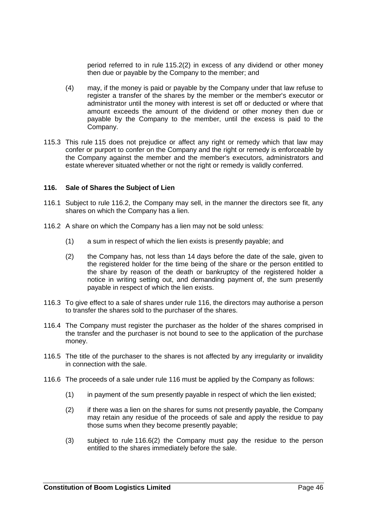period referred to in rule [115.2\(2\)](#page-51-2) in excess of any dividend or other money then due or payable by the Company to the member; and

- (4) may, if the money is paid or payable by the Company under that law refuse to register a transfer of the shares by the member or the member's executor or administrator until the money with interest is set off or deducted or where that amount exceeds the amount of the dividend or other money then due or payable by the Company to the member, until the excess is paid to the Company.
- 115.3 This rule [115](#page-51-0) does not prejudice or affect any right or remedy which that law may confer or purport to confer on the Company and the right or remedy is enforceable by the Company against the member and the member's executors, administrators and estate wherever situated whether or not the right or remedy is validly conferred.

# <span id="page-52-1"></span>**116. Sale of Shares the Subject of Lien**

- 116.1 Subject to rule [116.2,](#page-52-0) the Company may sell, in the manner the directors see fit, any shares on which the Company has a lien.
- <span id="page-52-0"></span>116.2 A share on which the Company has a lien may not be sold unless:
	- (1) a sum in respect of which the lien exists is presently payable; and
	- (2) the Company has, not less than 14 days before the date of the sale, given to the registered holder for the time being of the share or the person entitled to the share by reason of the death or bankruptcy of the registered holder a notice in writing setting out, and demanding payment of, the sum presently payable in respect of which the lien exists.
- 116.3 To give effect to a sale of shares under rule [116,](#page-52-1) the directors may authorise a person to transfer the shares sold to the purchaser of the shares.
- 116.4 The Company must register the purchaser as the holder of the shares comprised in the transfer and the purchaser is not bound to see to the application of the purchase money.
- 116.5 The title of the purchaser to the shares is not affected by any irregularity or invalidity in connection with the sale.
- <span id="page-52-2"></span>116.6 The proceeds of a sale under rule [116](#page-52-1) must be applied by the Company as follows:
	- (1) in payment of the sum presently payable in respect of which the lien existed;
	- (2) if there was a lien on the shares for sums not presently payable, the Company may retain any residue of the proceeds of sale and apply the residue to pay those sums when they become presently payable;
	- (3) subject to rule [116.6\(2\)](#page-52-2) the Company must pay the residue to the person entitled to the shares immediately before the sale.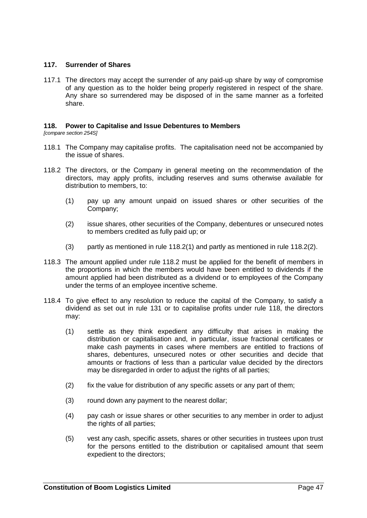# **117. Surrender of Shares**

117.1 The directors may accept the surrender of any paid-up share by way of compromise of any question as to the holder being properly registered in respect of the share. Any share so surrendered may be disposed of in the same manner as a forfeited share.

# <span id="page-53-3"></span>**118. Power to Capitalise and Issue Debentures to Members**

*[compare section 254S]*

- 118.1 The Company may capitalise profits. The capitalisation need not be accompanied by the issue of shares.
- <span id="page-53-2"></span><span id="page-53-0"></span>118.2 The directors, or the Company in general meeting on the recommendation of the directors, may apply profits, including reserves and sums otherwise available for distribution to members, to:
	- (1) pay up any amount unpaid on issued shares or other securities of the Company;
	- (2) issue shares, other securities of the Company, debentures or unsecured notes to members credited as fully paid up; or
	- (3) partly as mentioned in rule [118.2\(1\)](#page-53-0) and partly as mentioned in rule [118.2\(2\).](#page-53-1)
- <span id="page-53-1"></span>118.3 The amount applied under rule [118.2](#page-53-2) must be applied for the benefit of members in the proportions in which the members would have been entitled to dividends if the amount applied had been distributed as a dividend or to employees of the Company under the terms of an employee incentive scheme.
- 118.4 To give effect to any resolution to reduce the capital of the Company, to satisfy a dividend as set out in rule [131](#page-58-0) or to capitalise profits under rule [118,](#page-53-3) the directors may:
	- (1) settle as they think expedient any difficulty that arises in making the distribution or capitalisation and, in particular, issue fractional certificates or make cash payments in cases where members are entitled to fractions of shares, debentures, unsecured notes or other securities and decide that amounts or fractions of less than a particular value decided by the directors may be disregarded in order to adjust the rights of all parties;
	- (2) fix the value for distribution of any specific assets or any part of them;
	- (3) round down any payment to the nearest dollar;
	- (4) pay cash or issue shares or other securities to any member in order to adjust the rights of all parties;
	- (5) vest any cash, specific assets, shares or other securities in trustees upon trust for the persons entitled to the distribution or capitalised amount that seem expedient to the directors;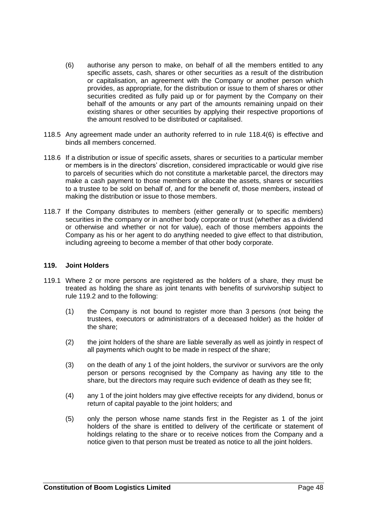- <span id="page-54-0"></span>(6) authorise any person to make, on behalf of all the members entitled to any specific assets, cash, shares or other securities as a result of the distribution or capitalisation, an agreement with the Company or another person which provides, as appropriate, for the distribution or issue to them of shares or other securities credited as fully paid up or for payment by the Company on their behalf of the amounts or any part of the amounts remaining unpaid on their existing shares or other securities by applying their respective proportions of the amount resolved to be distributed or capitalised.
- 118.5 Any agreement made under an authority referred to in rule [118.4\(6\)](#page-54-0) is effective and binds all members concerned.
- 118.6 If a distribution or issue of specific assets, shares or securities to a particular member or members is in the directors' discretion, considered impracticable or would give rise to parcels of securities which do not constitute a marketable parcel, the directors may make a cash payment to those members or allocate the assets, shares or securities to a trustee to be sold on behalf of, and for the benefit of, those members, instead of making the distribution or issue to those members.
- 118.7 If the Company distributes to members (either generally or to specific members) securities in the company or in another body corporate or trust (whether as a dividend or otherwise and whether or not for value), each of those members appoints the Company as his or her agent to do anything needed to give effect to that distribution, including agreeing to become a member of that other body corporate.

#### **119. Joint Holders**

- <span id="page-54-1"></span>119.1 Where 2 or more persons are registered as the holders of a share, they must be treated as holding the share as joint tenants with benefits of survivorship subject to rule [119.2](#page-55-0) and to the following:
	- (1) the Company is not bound to register more than 3 persons (not being the trustees, executors or administrators of a deceased holder) as the holder of the share;
	- (2) the joint holders of the share are liable severally as well as jointly in respect of all payments which ought to be made in respect of the share;
	- (3) on the death of any 1 of the joint holders, the survivor or survivors are the only person or persons recognised by the Company as having any title to the share, but the directors may require such evidence of death as they see fit;
	- (4) any 1 of the joint holders may give effective receipts for any dividend, bonus or return of capital payable to the joint holders; and
	- (5) only the person whose name stands first in the Register as 1 of the joint holders of the share is entitled to delivery of the certificate or statement of holdings relating to the share or to receive notices from the Company and a notice given to that person must be treated as notice to all the joint holders.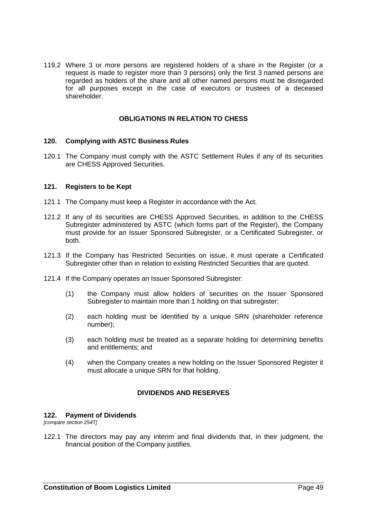<span id="page-55-0"></span>119.2 Where 3 or more persons are registered holders of a share in the Register (or a request is made to register more than 3 persons) only the first 3 named persons are regarded as holders of the share and all other named persons must be disregarded for all purposes except in the case of executors or trustees of a deceased shareholder.

# **OBLIGATIONS IN RELATION TO CHESS**

### **120. Complying with ASTC Business Rules**

120.1 The Company must comply with the ASTC Settlement Rules if any of its securities are CHESS Approved Securities.

#### **121. Registers to be Kept**

- 121.1 The Company must keep a Register in accordance with the Act.
- 121.2 If any of its securities are CHESS Approved Securities, in addition to the CHESS Subregister administered by ASTC (which forms part of the Register), the Company must provide for an Issuer Sponsored Subregister, or a Certificated Subregister, or both.
- 121.3 If the Company has Restricted Securities on issue, it must operate a Certificated Subregister other than in relation to existing Restricted Securities that are quoted.
- 121.4 If the Company operates an Issuer Sponsored Subregister:
	- (1) the Company must allow holders of securities on the Issuer Sponsored Subregister to maintain more than 1 holding on that subregister;
	- (2) each holding must be identified by a unique SRN (shareholder reference number);
	- (3) each holding must be treated as a separate holding for determining benefits and entitlements; and
	- (4) when the Company creates a new holding on the Issuer Sponsored Register it must allocate a unique SRN for that holding.

# **DIVIDENDS AND RESERVES**

#### **122. Payment of Dividends**

*[compare section 254T]*

122.1 The directors may pay any interim and final dividends that, in their judgment, the financial position of the Company justifies.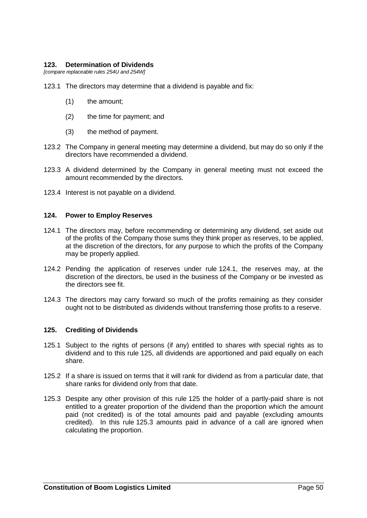### **123. Determination of Dividends**

*[compare replaceable rules 254U and 254W]*

- 123.1 The directors may determine that a dividend is payable and fix:
	- (1) the amount;
	- (2) the time for payment; and
	- (3) the method of payment.
- 123.2 The Company in general meeting may determine a dividend, but may do so only if the directors have recommended a dividend.
- 123.3 A dividend determined by the Company in general meeting must not exceed the amount recommended by the directors.
- 123.4 Interest is not payable on a dividend.

### <span id="page-56-0"></span>**124. Power to Employ Reserves**

- 124.1 The directors may, before recommending or determining any dividend, set aside out of the profits of the Company those sums they think proper as reserves, to be applied, at the discretion of the directors, for any purpose to which the profits of the Company may be properly applied.
- 124.2 Pending the application of reserves under rule [124.1,](#page-56-0) the reserves may, at the discretion of the directors, be used in the business of the Company or be invested as the directors see fit.
- 124.3 The directors may carry forward so much of the profits remaining as they consider ought not to be distributed as dividends without transferring those profits to a reserve.

# <span id="page-56-1"></span>**125. Crediting of Dividends**

- 125.1 Subject to the rights of persons (if any) entitled to shares with special rights as to dividend and to this rule [125,](#page-56-1) all dividends are apportioned and paid equally on each share.
- 125.2 If a share is issued on terms that it will rank for dividend as from a particular date, that share ranks for dividend only from that date.
- <span id="page-56-2"></span>125.3 Despite any other provision of this rule [125](#page-56-1) the holder of a partly-paid share is not entitled to a greater proportion of the dividend than the proportion which the amount paid (not credited) is of the total amounts paid and payable (excluding amounts credited). In this rule [125.3](#page-56-2) amounts paid in advance of a call are ignored when calculating the proportion.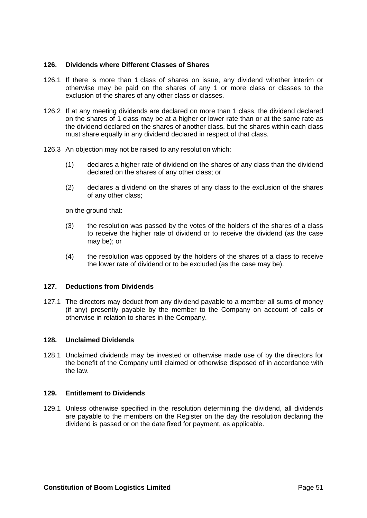# **126. Dividends where Different Classes of Shares**

- 126.1 If there is more than 1 class of shares on issue, any dividend whether interim or otherwise may be paid on the shares of any 1 or more class or classes to the exclusion of the shares of any other class or classes.
- 126.2 If at any meeting dividends are declared on more than 1 class, the dividend declared on the shares of 1 class may be at a higher or lower rate than or at the same rate as the dividend declared on the shares of another class, but the shares within each class must share equally in any dividend declared in respect of that class.
- 126.3 An objection may not be raised to any resolution which:
	- (1) declares a higher rate of dividend on the shares of any class than the dividend declared on the shares of any other class; or
	- (2) declares a dividend on the shares of any class to the exclusion of the shares of any other class;

on the ground that:

- (3) the resolution was passed by the votes of the holders of the shares of a class to receive the higher rate of dividend or to receive the dividend (as the case may be); or
- (4) the resolution was opposed by the holders of the shares of a class to receive the lower rate of dividend or to be excluded (as the case may be).

### **127. Deductions from Dividends**

127.1 The directors may deduct from any dividend payable to a member all sums of money (if any) presently payable by the member to the Company on account of calls or otherwise in relation to shares in the Company.

#### **128. Unclaimed Dividends**

128.1 Unclaimed dividends may be invested or otherwise made use of by the directors for the benefit of the Company until claimed or otherwise disposed of in accordance with the law.

# **129. Entitlement to Dividends**

129.1 Unless otherwise specified in the resolution determining the dividend, all dividends are payable to the members on the Register on the day the resolution declaring the dividend is passed or on the date fixed for payment, as applicable.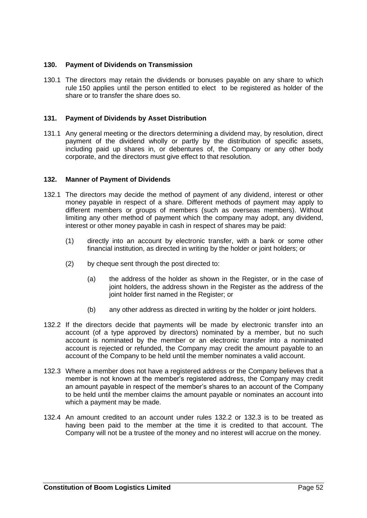# **130. Payment of Dividends on Transmission**

130.1 The directors may retain the dividends or bonuses payable on any share to which rule [150](#page-68-0) applies until the person entitled to elect to be registered as holder of the share or to transfer the share does so.

# <span id="page-58-0"></span>**131. Payment of Dividends by Asset Distribution**

131.1 Any general meeting or the directors determining a dividend may, by resolution, direct payment of the dividend wholly or partly by the distribution of specific assets, including paid up shares in, or debentures of, the Company or any other body corporate, and the directors must give effect to that resolution.

# **132. Manner of Payment of Dividends**

- 132.1 The directors may decide the method of payment of any dividend, interest or other money payable in respect of a share. Different methods of payment may apply to different members or groups of members (such as overseas members). Without limiting any other method of payment which the company may adopt, any dividend, interest or other money payable in cash in respect of shares may be paid:
	- (1) directly into an account by electronic transfer, with a bank or some other financial institution, as directed in writing by the holder or joint holders; or
	- (2) by cheque sent through the post directed to:
		- (a) the address of the holder as shown in the Register, or in the case of joint holders, the address shown in the Register as the address of the joint holder first named in the Register; or
		- (b) any other address as directed in writing by the holder or joint holders.
- <span id="page-58-1"></span>132.2 If the directors decide that payments will be made by electronic transfer into an account (of a type approved by directors) nominated by a member, but no such account is nominated by the member or an electronic transfer into a nominated account is rejected or refunded, the Company may credit the amount payable to an account of the Company to be held until the member nominates a valid account.
- <span id="page-58-2"></span>132.3 Where a member does not have a registered address or the Company believes that a member is not known at the member's registered address, the Company may credit an amount payable in respect of the member's shares to an account of the Company to be held until the member claims the amount payable or nominates an account into which a payment may be made.
- 132.4 An amount credited to an account under rules [132.2](#page-58-1) or [132.3](#page-58-2) is to be treated as having been paid to the member at the time it is credited to that account. The Company will not be a trustee of the money and no interest will accrue on the money.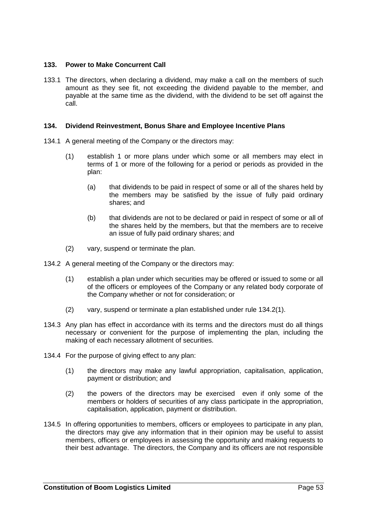# **133. Power to Make Concurrent Call**

133.1 The directors, when declaring a dividend, may make a call on the members of such amount as they see fit, not exceeding the dividend payable to the member, and payable at the same time as the dividend, with the dividend to be set off against the call.

# **134. Dividend Reinvestment, Bonus Share and Employee Incentive Plans**

- 134.1 A general meeting of the Company or the directors may:
	- (1) establish 1 or more plans under which some or all members may elect in terms of 1 or more of the following for a period or periods as provided in the plan:
		- (a) that dividends to be paid in respect of some or all of the shares held by the members may be satisfied by the issue of fully paid ordinary shares; and
		- (b) that dividends are not to be declared or paid in respect of some or all of the shares held by the members, but that the members are to receive an issue of fully paid ordinary shares; and
	- (2) vary, suspend or terminate the plan.
- <span id="page-59-0"></span>134.2 A general meeting of the Company or the directors may:
	- (1) establish a plan under which securities may be offered or issued to some or all of the officers or employees of the Company or any related body corporate of the Company whether or not for consideration; or
	- (2) vary, suspend or terminate a plan established under rule [134.2\(1\).](#page-59-0)
- 134.3 Any plan has effect in accordance with its terms and the directors must do all things necessary or convenient for the purpose of implementing the plan, including the making of each necessary allotment of securities.
- <span id="page-59-1"></span>134.4 For the purpose of giving effect to any plan:
	- (1) the directors may make any lawful appropriation, capitalisation, application, payment or distribution; and
	- (2) the powers of the directors may be exercised even if only some of the members or holders of securities of any class participate in the appropriation, capitalisation, application, payment or distribution.
- 134.5 In offering opportunities to members, officers or employees to participate in any plan, the directors may give any information that in their opinion may be useful to assist members, officers or employees in assessing the opportunity and making requests to their best advantage. The directors, the Company and its officers are not responsible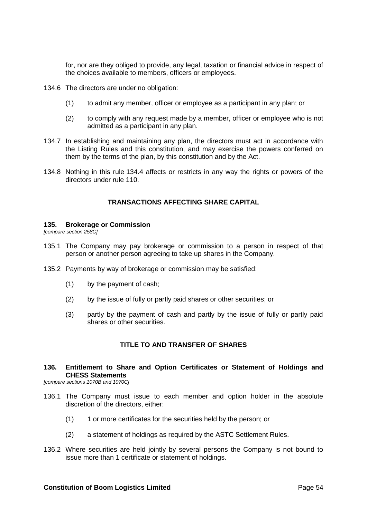for, nor are they obliged to provide, any legal, taxation or financial advice in respect of the choices available to members, officers or employees.

- 134.6 The directors are under no obligation:
	- (1) to admit any member, officer or employee as a participant in any plan; or
	- (2) to comply with any request made by a member, officer or employee who is not admitted as a participant in any plan.
- 134.7 In establishing and maintaining any plan, the directors must act in accordance with the Listing Rules and this constitution, and may exercise the powers conferred on them by the terms of the plan, by this constitution and by the Act.
- 134.8 Nothing in this rule [134.4](#page-59-1) affects or restricts in any way the rights or powers of the directors under rule [110.](#page-45-0)

# **TRANSACTIONS AFFECTING SHARE CAPITAL**

#### **135. Brokerage or Commission**

*[compare section 258C]*

- 135.1 The Company may pay brokerage or commission to a person in respect of that person or another person agreeing to take up shares in the Company.
- 135.2 Payments by way of brokerage or commission may be satisfied:
	- (1) by the payment of cash;
	- (2) by the issue of fully or partly paid shares or other securities; or
	- (3) partly by the payment of cash and partly by the issue of fully or partly paid shares or other securities.

# **TITLE TO AND TRANSFER OF SHARES**

**136. Entitlement to Share and Option Certificates or Statement of Holdings and CHESS Statements**

*[compare sections 1070B and 1070C]*

- 136.1 The Company must issue to each member and option holder in the absolute discretion of the directors, either:
	- (1) 1 or more certificates for the securities held by the person; or
	- (2) a statement of holdings as required by the ASTC Settlement Rules.
- 136.2 Where securities are held jointly by several persons the Company is not bound to issue more than 1 certificate or statement of holdings.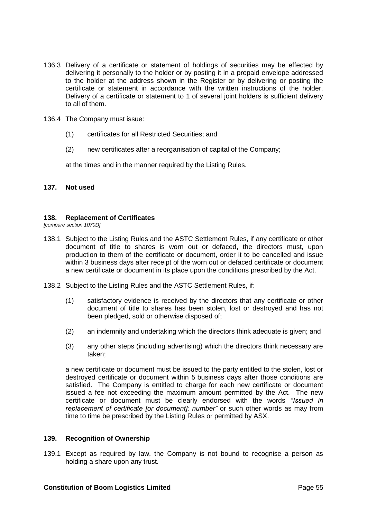- 136.3 Delivery of a certificate or statement of holdings of securities may be effected by delivering it personally to the holder or by posting it in a prepaid envelope addressed to the holder at the address shown in the Register or by delivering or posting the certificate or statement in accordance with the written instructions of the holder. Delivery of a certificate or statement to 1 of several joint holders is sufficient delivery to all of them.
- <span id="page-61-0"></span>136.4 The Company must issue:
	- (1) certificates for all Restricted Securities; and
	- (2) new certificates after a reorganisation of capital of the Company;

at the times and in the manner required by the Listing Rules.

## **137. Not used**

### **138. Replacement of Certificates**

*[compare section 1070D]*

- 138.1 Subject to the Listing Rules and the ASTC Settlement Rules, if any certificate or other document of title to shares is worn out or defaced, the directors must, upon production to them of the certificate or document, order it to be cancelled and issue within 3 business days after receipt of the worn out or defaced certificate or document a new certificate or document in its place upon the conditions prescribed by the Act.
- 138.2 Subject to the Listing Rules and the ASTC Settlement Rules, if:
	- (1) satisfactory evidence is received by the directors that any certificate or other document of title to shares has been stolen, lost or destroyed and has not been pledged, sold or otherwise disposed of;
	- (2) an indemnity and undertaking which the directors think adequate is given; and
	- (3) any other steps (including advertising) which the directors think necessary are taken;

a new certificate or document must be issued to the party entitled to the stolen, lost or destroyed certificate or document within 5 business days after those conditions are satisfied. The Company is entitled to charge for each new certificate or document issued a fee not exceeding the maximum amount permitted by the Act. The new certificate or document must be clearly endorsed with the words *"Issued in replacement of certificate [or document]: number"* or such other words as may from time to time be prescribed by the Listing Rules or permitted by ASX.

# **139. Recognition of Ownership**

139.1 Except as required by law, the Company is not bound to recognise a person as holding a share upon any trust.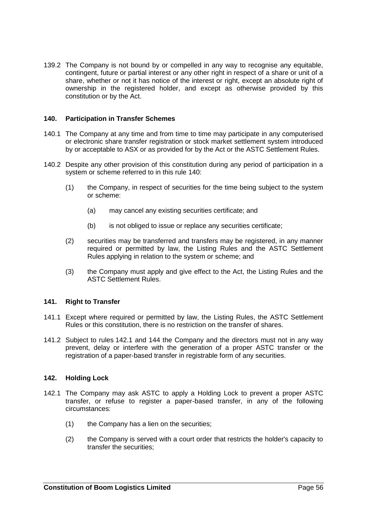139.2 The Company is not bound by or compelled in any way to recognise any equitable, contingent, future or partial interest or any other right in respect of a share or unit of a share, whether or not it has notice of the interest or right, except an absolute right of ownership in the registered holder, and except as otherwise provided by this constitution or by the Act.

# <span id="page-62-0"></span>**140. Participation in Transfer Schemes**

- 140.1 The Company at any time and from time to time may participate in any computerised or electronic share transfer registration or stock market settlement system introduced by or acceptable to ASX or as provided for by the Act or the ASTC Settlement Rules.
- 140.2 Despite any other provision of this constitution during any period of participation in a system or scheme referred to in this rule [140:](#page-62-0)
	- (1) the Company, in respect of securities for the time being subject to the system or scheme:
		- (a) may cancel any existing securities certificate; and
		- (b) is not obliged to issue or replace any securities certificate;
	- (2) securities may be transferred and transfers may be registered, in any manner required or permitted by law, the Listing Rules and the ASTC Settlement Rules applying in relation to the system or scheme; and
	- (3) the Company must apply and give effect to the Act, the Listing Rules and the ASTC Settlement Rules.

### **141. Right to Transfer**

- 141.1 Except where required or permitted by law, the Listing Rules, the ASTC Settlement Rules or this constitution, there is no restriction on the transfer of shares.
- 141.2 Subject to rules [142.1](#page-62-1) and [144](#page-63-0) the Company and the directors must not in any way prevent, delay or interfere with the generation of a proper ASTC transfer or the registration of a paper-based transfer in registrable form of any securities.

#### <span id="page-62-1"></span>**142. Holding Lock**

- 142.1 The Company may ask ASTC to apply a Holding Lock to prevent a proper ASTC transfer, or refuse to register a paper-based transfer, in any of the following circumstances:
	- (1) the Company has a lien on the securities;
	- (2) the Company is served with a court order that restricts the holder's capacity to transfer the securities;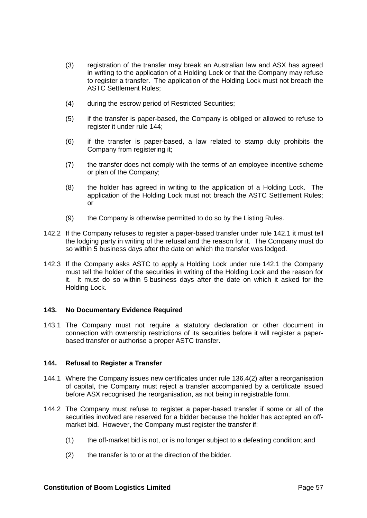- (3) registration of the transfer may break an Australian law and ASX has agreed in writing to the application of a Holding Lock or that the Company may refuse to register a transfer. The application of the Holding Lock must not breach the ASTC Settlement Rules;
- (4) during the escrow period of Restricted Securities;
- (5) if the transfer is paper-based, the Company is obliged or allowed to refuse to register it under rule [144;](#page-63-0)
- (6) if the transfer is paper-based, a law related to stamp duty prohibits the Company from registering it;
- (7) the transfer does not comply with the terms of an employee incentive scheme or plan of the Company;
- (8) the holder has agreed in writing to the application of a Holding Lock. The application of the Holding Lock must not breach the ASTC Settlement Rules; or
- (9) the Company is otherwise permitted to do so by the Listing Rules.
- 142.2 If the Company refuses to register a paper-based transfer under rule [142.1](#page-62-1) it must tell the lodging party in writing of the refusal and the reason for it. The Company must do so within 5 business days after the date on which the transfer was lodged.
- 142.3 If the Company asks ASTC to apply a Holding Lock under rule [142.1](#page-62-1) the Company must tell the holder of the securities in writing of the Holding Lock and the reason for it. It must do so within 5 business days after the date on which it asked for the Holding Lock.

# **143. No Documentary Evidence Required**

143.1 The Company must not require a statutory declaration or other document in connection with ownership restrictions of its securities before it will register a paperbased transfer or authorise a proper ASTC transfer.

# <span id="page-63-0"></span>**144. Refusal to Register a Transfer**

- 144.1 Where the Company issues new certificates under rule [136.4\(2\)](#page-61-0) after a reorganisation of capital, the Company must reject a transfer accompanied by a certificate issued before ASX recognised the reorganisation, as not being in registrable form.
- 144.2 The Company must refuse to register a paper-based transfer if some or all of the securities involved are reserved for a bidder because the holder has accepted an offmarket bid. However, the Company must register the transfer if:
	- (1) the off-market bid is not, or is no longer subject to a defeating condition; and
	- (2) the transfer is to or at the direction of the bidder.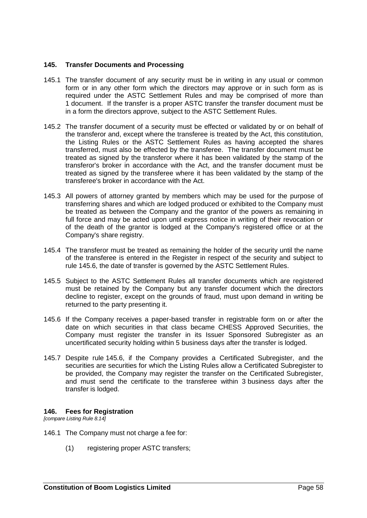## **145. Transfer Documents and Processing**

- 145.1 The transfer document of any security must be in writing in any usual or common form or in any other form which the directors may approve or in such form as is required under the ASTC Settlement Rules and may be comprised of more than 1 document. If the transfer is a proper ASTC transfer the transfer document must be in a form the directors approve, subject to the ASTC Settlement Rules.
- 145.2 The transfer document of a security must be effected or validated by or on behalf of the transferor and, except where the transferee is treated by the Act, this constitution, the Listing Rules or the ASTC Settlement Rules as having accepted the shares transferred, must also be effected by the transferee. The transfer document must be treated as signed by the transferor where it has been validated by the stamp of the transferor's broker in accordance with the Act, and the transfer document must be treated as signed by the transferee where it has been validated by the stamp of the transferee's broker in accordance with the Act.
- 145.3 All powers of attorney granted by members which may be used for the purpose of transferring shares and which are lodged produced or exhibited to the Company must be treated as between the Company and the grantor of the powers as remaining in full force and may be acted upon until express notice in writing of their revocation or of the death of the grantor is lodged at the Company's registered office or at the Company's share registry.
- 145.4 The transferor must be treated as remaining the holder of the security until the name of the transferee is entered in the Register in respect of the security and subject to rule [145.6,](#page-64-0) the date of transfer is governed by the ASTC Settlement Rules.
- 145.5 Subject to the ASTC Settlement Rules all transfer documents which are registered must be retained by the Company but any transfer document which the directors decline to register, except on the grounds of fraud, must upon demand in writing be returned to the party presenting it.
- <span id="page-64-0"></span>145.6 If the Company receives a paper-based transfer in registrable form on or after the date on which securities in that class became CHESS Approved Securities, the Company must register the transfer in its Issuer Sponsored Subregister as an uncertificated security holding within 5 business days after the transfer is lodged.
- 145.7 Despite rule [145.6,](#page-64-0) if the Company provides a Certificated Subregister, and the securities are securities for which the Listing Rules allow a Certificated Subregister to be provided, the Company may register the transfer on the Certificated Subregister, and must send the certificate to the transferee within 3 business days after the transfer is lodged.

#### **146. Fees for Registration**

<span id="page-64-1"></span>*[compare Listing Rule 8.14]*

- 146.1 The Company must not charge a fee for:
	- (1) registering proper ASTC transfers;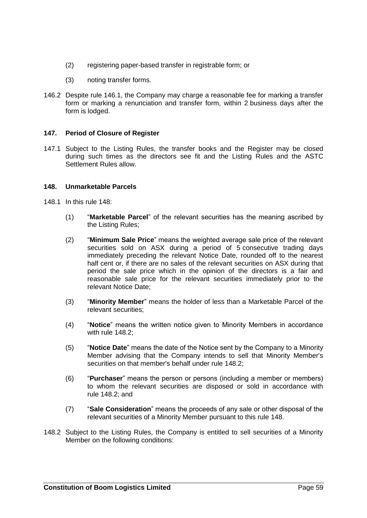- (2) registering paper-based transfer in registrable form; or
- (3) noting transfer forms.
- 146.2 Despite rule [146.1,](#page-64-1) the Company may charge a reasonable fee for marking a transfer form or marking a renunciation and transfer form, within 2 business days after the form is lodged.

# **147. Period of Closure of Register**

147.1 Subject to the Listing Rules, the transfer books and the Register may be closed during such times as the directors see fit and the Listing Rules and the ASTC Settlement Rules allow.

# <span id="page-65-0"></span>**148. Unmarketable Parcels**

- 148.1 In this rule [148:](#page-65-0)
	- (1) "**Marketable Parcel**" of the relevant securities has the meaning ascribed by the Listing Rules;
	- (2) "**Minimum Sale Price**" means the weighted average sale price of the relevant securities sold on ASX during a period of 5 consecutive trading days immediately preceding the relevant Notice Date, rounded off to the nearest half cent or, if there are no sales of the relevant securities on ASX during that period the sale price which in the opinion of the directors is a fair and reasonable sale price for the relevant securities immediately prior to the relevant Notice Date;
	- (3) "**Minority Member**" means the holder of less than a Marketable Parcel of the relevant securities;
	- (4) "**Notice**" means the written notice given to Minority Members in accordance with rule [148.2;](#page-65-1)
	- (5) "**Notice Date**" means the date of the Notice sent by the Company to a Minority Member advising that the Company intends to sell that Minority Member's securities on that member's behalf under rule [148.2;](#page-65-1)
	- (6) "**Purchaser**" means the person or persons (including a member or members) to whom the relevant securities are disposed or sold in accordance with rule [148.2;](#page-65-1) and
	- (7) "**Sale Consideration**" means the proceeds of any sale or other disposal of the relevant securities of a Minority Member pursuant to this rule [148.](#page-65-0)
- <span id="page-65-1"></span>148.2 Subject to the Listing Rules, the Company is entitled to sell securities of a Minority Member on the following conditions: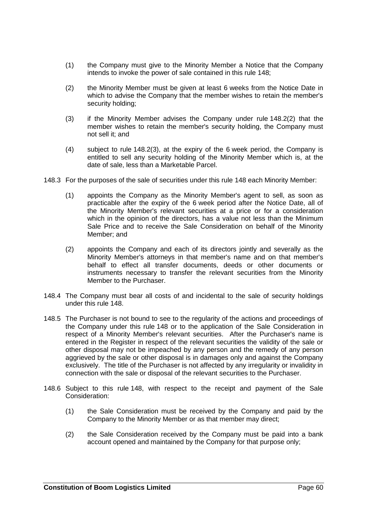- (1) the Company must give to the Minority Member a Notice that the Company intends to invoke the power of sale contained in this rule [148;](#page-65-0)
- <span id="page-66-0"></span>(2) the Minority Member must be given at least 6 weeks from the Notice Date in which to advise the Company that the member wishes to retain the member's security holding;
- <span id="page-66-1"></span>(3) if the Minority Member advises the Company under rule [148.2\(2\)](#page-66-0) that the member wishes to retain the member's security holding, the Company must not sell it; and
- (4) subject to rule [148.2\(3\),](#page-66-1) at the expiry of the 6 week period, the Company is entitled to sell any security holding of the Minority Member which is, at the date of sale, less than a Marketable Parcel.
- 148.3 For the purposes of the sale of securities under this rule [148](#page-65-0) each Minority Member:
	- (1) appoints the Company as the Minority Member's agent to sell, as soon as practicable after the expiry of the 6 week period after the Notice Date, all of the Minority Member's relevant securities at a price or for a consideration which in the opinion of the directors, has a value not less than the Minimum Sale Price and to receive the Sale Consideration on behalf of the Minority Member; and
	- (2) appoints the Company and each of its directors jointly and severally as the Minority Member's attorneys in that member's name and on that member's behalf to effect all transfer documents, deeds or other documents or instruments necessary to transfer the relevant securities from the Minority Member to the Purchaser.
- 148.4 The Company must bear all costs of and incidental to the sale of security holdings under this rule [148.](#page-65-0)
- 148.5 The Purchaser is not bound to see to the regularity of the actions and proceedings of the Company under this rule [148](#page-65-0) or to the application of the Sale Consideration in respect of a Minority Member's relevant securities. After the Purchaser's name is entered in the Register in respect of the relevant securities the validity of the sale or other disposal may not be impeached by any person and the remedy of any person aggrieved by the sale or other disposal is in damages only and against the Company exclusively. The title of the Purchaser is not affected by any irregularity or invalidity in connection with the sale or disposal of the relevant securities to the Purchaser.
- 148.6 Subject to this rule [148,](#page-65-0) with respect to the receipt and payment of the Sale Consideration:
	- (1) the Sale Consideration must be received by the Company and paid by the Company to the Minority Member or as that member may direct;
	- (2) the Sale Consideration received by the Company must be paid into a bank account opened and maintained by the Company for that purpose only;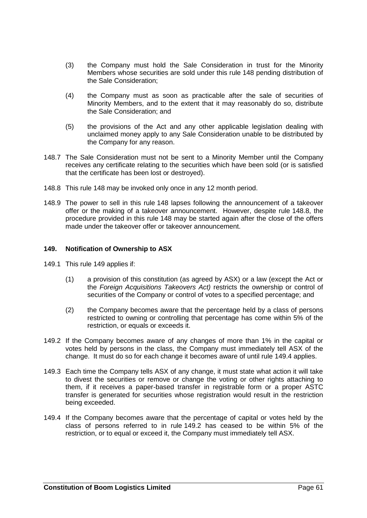- (3) the Company must hold the Sale Consideration in trust for the Minority Members whose securities are sold under this rule [148](#page-65-0) pending distribution of the Sale Consideration;
- (4) the Company must as soon as practicable after the sale of securities of Minority Members, and to the extent that it may reasonably do so, distribute the Sale Consideration; and
- (5) the provisions of the Act and any other applicable legislation dealing with unclaimed money apply to any Sale Consideration unable to be distributed by the Company for any reason.
- 148.7 The Sale Consideration must not be sent to a Minority Member until the Company receives any certificate relating to the securities which have been sold (or is satisfied that the certificate has been lost or destroyed).
- <span id="page-67-0"></span>148.8 This rule [148](#page-65-0) may be invoked only once in any 12 month period.
- 148.9 The power to sell in this rule [148](#page-65-0) lapses following the announcement of a takeover offer or the making of a takeover announcement. However, despite rule [148.8,](#page-67-0) the procedure provided in this rule [148](#page-65-0) may be started again after the close of the offers made under the takeover offer or takeover announcement.

### <span id="page-67-1"></span>**149. Notification of Ownership to ASX**

- 149.1 This rule [149](#page-67-1) applies if:
	- (1) a provision of this constitution (as agreed by ASX) or a law (except the Act or the *Foreign Acquisitions Takeovers Act)* restricts the ownership or control of securities of the Company or control of votes to a specified percentage; and
	- (2) the Company becomes aware that the percentage held by a class of persons restricted to owning or controlling that percentage has come within 5% of the restriction, or equals or exceeds it.
- <span id="page-67-3"></span>149.2 If the Company becomes aware of any changes of more than 1% in the capital or votes held by persons in the class, the Company must immediately tell ASX of the change. It must do so for each change it becomes aware of until rule [149.4](#page-67-2) applies.
- 149.3 Each time the Company tells ASX of any change, it must state what action it will take to divest the securities or remove or change the voting or other rights attaching to them, if it receives a paper-based transfer in registrable form or a proper ASTC transfer is generated for securities whose registration would result in the restriction being exceeded.
- <span id="page-67-2"></span>149.4 If the Company becomes aware that the percentage of capital or votes held by the class of persons referred to in rule [149.2](#page-67-3) has ceased to be within 5% of the restriction, or to equal or exceed it, the Company must immediately tell ASX.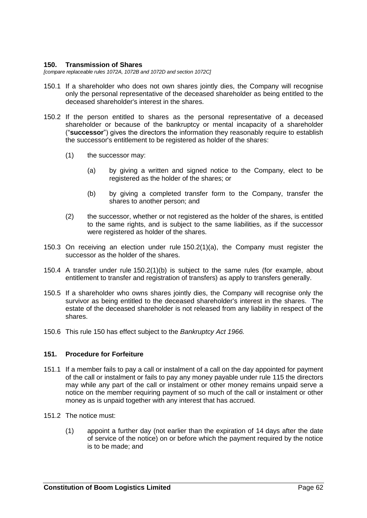#### <span id="page-68-0"></span>**150. Transmission of Shares**

*[compare replaceable rules 1072A, 1072B and 1072D and section 1072C]*

- 150.1 If a shareholder who does not own shares jointly dies, the Company will recognise only the personal representative of the deceased shareholder as being entitled to the deceased shareholder's interest in the shares.
- <span id="page-68-1"></span>150.2 If the person entitled to shares as the personal representative of a deceased shareholder or because of the bankruptcy or mental incapacity of a shareholder ("**successor**") gives the directors the information they reasonably require to establish the successor's entitlement to be registered as holder of the shares:
	- (1) the successor may:
		- (a) by giving a written and signed notice to the Company, elect to be registered as the holder of the shares; or
		- (b) by giving a completed transfer form to the Company, transfer the shares to another person; and
	- (2) the successor, whether or not registered as the holder of the shares, is entitled to the same rights, and is subject to the same liabilities, as if the successor were registered as holder of the shares.
- <span id="page-68-2"></span>150.3 On receiving an election under rule [150.2\(1\)\(a\),](#page-68-1) the Company must register the successor as the holder of the shares.
- 150.4 A transfer under rule [150.2\(1\)\(b\)](#page-68-2) is subject to the same rules (for example, about entitlement to transfer and registration of transfers) as apply to transfers generally.
- 150.5 If a shareholder who owns shares jointly dies, the Company will recognise only the survivor as being entitled to the deceased shareholder's interest in the shares. The estate of the deceased shareholder is not released from any liability in respect of the shares.
- 150.6 This rule [150](#page-68-0) has effect subject to the *Bankruptcy Act 1966.*

# <span id="page-68-3"></span>**151. Procedure for Forfeiture**

- 151.1 If a member fails to pay a call or instalment of a call on the day appointed for payment of the call or instalment or fails to pay any money payable under rule [115](#page-51-0) the directors may while any part of the call or instalment or other money remains unpaid serve a notice on the member requiring payment of so much of the call or instalment or other money as is unpaid together with any interest that has accrued.
- 151.2 The notice must:
	- (1) appoint a further day (not earlier than the expiration of 14 days after the date of service of the notice) on or before which the payment required by the notice is to be made; and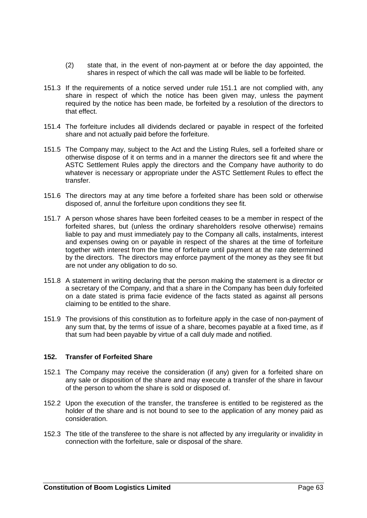- (2) state that, in the event of non-payment at or before the day appointed, the shares in respect of which the call was made will be liable to be forfeited.
- 151.3 If the requirements of a notice served under rule [151.1](#page-68-3) are not complied with, any share in respect of which the notice has been given may, unless the payment required by the notice has been made, be forfeited by a resolution of the directors to that effect.
- 151.4 The forfeiture includes all dividends declared or payable in respect of the forfeited share and not actually paid before the forfeiture.
- 151.5 The Company may, subject to the Act and the Listing Rules, sell a forfeited share or otherwise dispose of it on terms and in a manner the directors see fit and where the ASTC Settlement Rules apply the directors and the Company have authority to do whatever is necessary or appropriate under the ASTC Settlement Rules to effect the transfer.
- 151.6 The directors may at any time before a forfeited share has been sold or otherwise disposed of, annul the forfeiture upon conditions they see fit.
- 151.7 A person whose shares have been forfeited ceases to be a member in respect of the forfeited shares, but (unless the ordinary shareholders resolve otherwise) remains liable to pay and must immediately pay to the Company all calls, instalments, interest and expenses owing on or payable in respect of the shares at the time of forfeiture together with interest from the time of forfeiture until payment at the rate determined by the directors. The directors may enforce payment of the money as they see fit but are not under any obligation to do so.
- 151.8 A statement in writing declaring that the person making the statement is a director or a secretary of the Company, and that a share in the Company has been duly forfeited on a date stated is prima facie evidence of the facts stated as against all persons claiming to be entitled to the share.
- 151.9 The provisions of this constitution as to forfeiture apply in the case of non-payment of any sum that, by the terms of issue of a share, becomes payable at a fixed time, as if that sum had been payable by virtue of a call duly made and notified.

# **152. Transfer of Forfeited Share**

- 152.1 The Company may receive the consideration (if any) given for a forfeited share on any sale or disposition of the share and may execute a transfer of the share in favour of the person to whom the share is sold or disposed of.
- 152.2 Upon the execution of the transfer, the transferee is entitled to be registered as the holder of the share and is not bound to see to the application of any money paid as consideration.
- 152.3 The title of the transferee to the share is not affected by any irregularity or invalidity in connection with the forfeiture, sale or disposal of the share.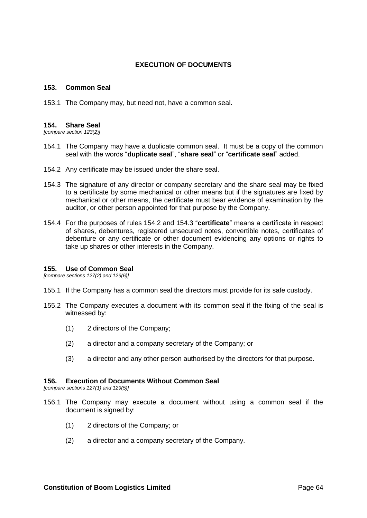# **EXECUTION OF DOCUMENTS**

### **153. Common Seal**

153.1 The Company may, but need not, have a common seal.

#### **154. Share Seal**

*[compare section 123(2)]*

- 154.1 The Company may have a duplicate common seal. It must be a copy of the common seal with the words "**duplicate seal**", "**share seal**" or "**certificate seal**" added.
- <span id="page-70-1"></span><span id="page-70-0"></span>154.2 Any certificate may be issued under the share seal.
- 154.3 The signature of any director or company secretary and the share seal may be fixed to a certificate by some mechanical or other means but if the signatures are fixed by mechanical or other means, the certificate must bear evidence of examination by the auditor, or other person appointed for that purpose by the Company.
- 154.4 For the purposes of rules [154.2](#page-70-0) and [154.3](#page-70-1) "**certificate**" means a certificate in respect of shares, debentures, registered unsecured notes, convertible notes, certificates of debenture or any certificate or other document evidencing any options or rights to take up shares or other interests in the Company.

#### <span id="page-70-2"></span>**155. Use of Common Seal**

*[compare sections 127(2) and 129(6)]*

- 155.1 If the Company has a common seal the directors must provide for its safe custody.
- 155.2 The Company executes a document with its common seal if the fixing of the seal is witnessed by:
	- (1) 2 directors of the Company;
	- (2) a director and a company secretary of the Company; or
	- (3) a director and any other person authorised by the directors for that purpose.

# <span id="page-70-3"></span>**156. Execution of Documents Without Common Seal**

*[compare sections 127(1) and 129(5)]*

- 156.1 The Company may execute a document without using a common seal if the document is signed by:
	- (1) 2 directors of the Company; or
	- (2) a director and a company secretary of the Company.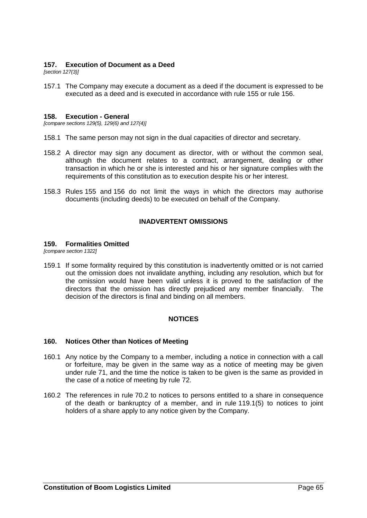### **157. Execution of Document as a Deed**

*[section 127(3)]*

157.1 The Company may execute a document as a deed if the document is expressed to be executed as a deed and is executed in accordance with rule [155](#page-70-2) or rule [156.](#page-70-3)

#### **158. Execution - General**

*[compare sections 129(5), 129(6) and 127(4)]*

- 158.1 The same person may not sign in the dual capacities of director and secretary.
- 158.2 A director may sign any document as director, with or without the common seal, although the document relates to a contract, arrangement, dealing or other transaction in which he or she is interested and his or her signature complies with the requirements of this constitution as to execution despite his or her interest.
- 158.3 Rules [155](#page-70-2) and [156](#page-70-3) do not limit the ways in which the directors may authorise documents (including deeds) to be executed on behalf of the Company.

### **INADVERTENT OMISSIONS**

#### **159. Formalities Omitted**

*[compare section 1322]*

159.1 If some formality required by this constitution is inadvertently omitted or is not carried out the omission does not invalidate anything, including any resolution, which but for the omission would have been valid unless it is proved to the satisfaction of the directors that the omission has directly prejudiced any member financially. The decision of the directors is final and binding on all members.

# **NOTICES**

#### **160. Notices Other than Notices of Meeting**

- 160.1 Any notice by the Company to a member, including a notice in connection with a call or forfeiture, may be given in the same way as a notice of meeting may be given under rule [71,](#page-29-0) and the time the notice is taken to be given is the same as provided in the case of a notice of meeting by rule [72.](#page-29-1)
- 160.2 The references in rule [70.2](#page-29-2) to notices to persons entitled to a share in consequence of the death or bankruptcy of a member, and in rule [119.1\(5\)](#page-54-1) to notices to joint holders of a share apply to any notice given by the Company.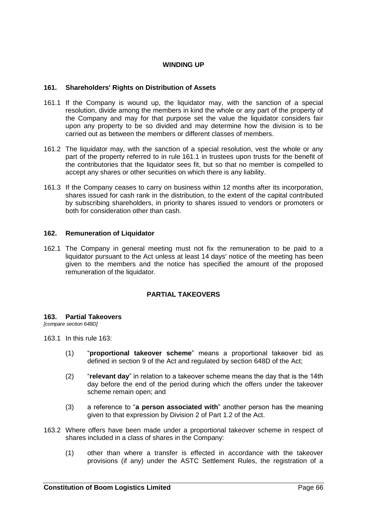# **WINDING UP**

### **161. Shareholders' Rights on Distribution of Assets**

- <span id="page-72-0"></span>161.1 If the Company is wound up, the liquidator may, with the sanction of a special resolution, divide among the members in kind the whole or any part of the property of the Company and may for that purpose set the value the liquidator considers fair upon any property to be so divided and may determine how the division is to be carried out as between the members or different classes of members.
- 161.2 The liquidator may, with the sanction of a special resolution, vest the whole or any part of the property referred to in rule [161.1](#page-72-0) in trustees upon trusts for the benefit of the contributories that the liquidator sees fit, but so that no member is compelled to accept any shares or other securities on which there is any liability.
- 161.3 If the Company ceases to carry on business within 12 months after its incorporation, shares issued for cash rank in the distribution, to the extent of the capital contributed by subscribing shareholders, in priority to shares issued to vendors or promoters or both for consideration other than cash.

### **162. Remuneration of Liquidator**

162.1 The Company in general meeting must not fix the remuneration to be paid to a liquidator pursuant to the Act unless at least 14 days' notice of the meeting has been given to the members and the notice has specified the amount of the proposed remuneration of the liquidator.

# **PARTIAL TAKEOVERS**

#### <span id="page-72-1"></span>**163. Partial Takeovers**

*[compare section 648D]*

163.1 In this rule [163:](#page-72-1)

- (1) "**proportional takeover scheme**" means a proportional takeover bid as defined in section 9 of the Act and regulated by section 648D of the Act;
- (2) "**relevant day**" in relation to a takeover scheme means the day that is the 14th day before the end of the period during which the offers under the takeover scheme remain open; and
- (3) a reference to "**a person associated with**" another person has the meaning given to that expression by Division 2 of Part 1.2 of the Act.
- <span id="page-72-2"></span>163.2 Where offers have been made under a proportional takeover scheme in respect of shares included in a class of shares in the Company:
	- (1) other than where a transfer is effected in accordance with the takeover provisions (if any) under the ASTC Settlement Rules, the registration of a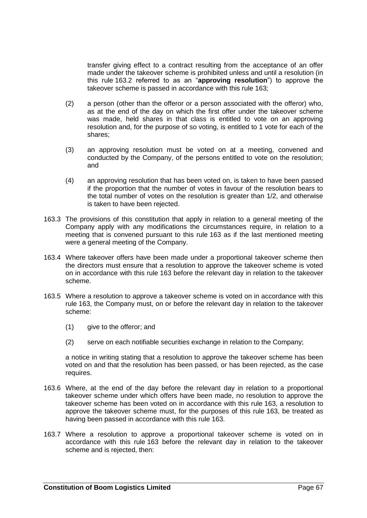transfer giving effect to a contract resulting from the acceptance of an offer made under the takeover scheme is prohibited unless and until a resolution (in this rule [163.2](#page-72-2) referred to as an "**approving resolution**") to approve the takeover scheme is passed in accordance with this rule [163;](#page-72-1)

- (2) a person (other than the offeror or a person associated with the offeror) who, as at the end of the day on which the first offer under the takeover scheme was made, held shares in that class is entitled to vote on an approving resolution and, for the purpose of so voting, is entitled to 1 vote for each of the shares;
- (3) an approving resolution must be voted on at a meeting, convened and conducted by the Company, of the persons entitled to vote on the resolution; and
- (4) an approving resolution that has been voted on, is taken to have been passed if the proportion that the number of votes in favour of the resolution bears to the total number of votes on the resolution is greater than 1/2, and otherwise is taken to have been rejected.
- 163.3 The provisions of this constitution that apply in relation to a general meeting of the Company apply with any modifications the circumstances require, in relation to a meeting that is convened pursuant to this rule [163](#page-72-1) as if the last mentioned meeting were a general meeting of the Company.
- 163.4 Where takeover offers have been made under a proportional takeover scheme then the directors must ensure that a resolution to approve the takeover scheme is voted on in accordance with this rule [163](#page-72-1) before the relevant day in relation to the takeover scheme.
- 163.5 Where a resolution to approve a takeover scheme is voted on in accordance with this rule [163,](#page-72-1) the Company must, on or before the relevant day in relation to the takeover scheme:
	- (1) give to the offeror; and
	- (2) serve on each notifiable securities exchange in relation to the Company;

a notice in writing stating that a resolution to approve the takeover scheme has been voted on and that the resolution has been passed, or has been rejected, as the case requires.

- 163.6 Where, at the end of the day before the relevant day in relation to a proportional takeover scheme under which offers have been made, no resolution to approve the takeover scheme has been voted on in accordance with this rule [163,](#page-72-1) a resolution to approve the takeover scheme must, for the purposes of this rule [163,](#page-72-1) be treated as having been passed in accordance with this rule [163.](#page-72-1)
- 163.7 Where a resolution to approve a proportional takeover scheme is voted on in accordance with this rule [163](#page-72-1) before the relevant day in relation to the takeover scheme and is rejected, then: